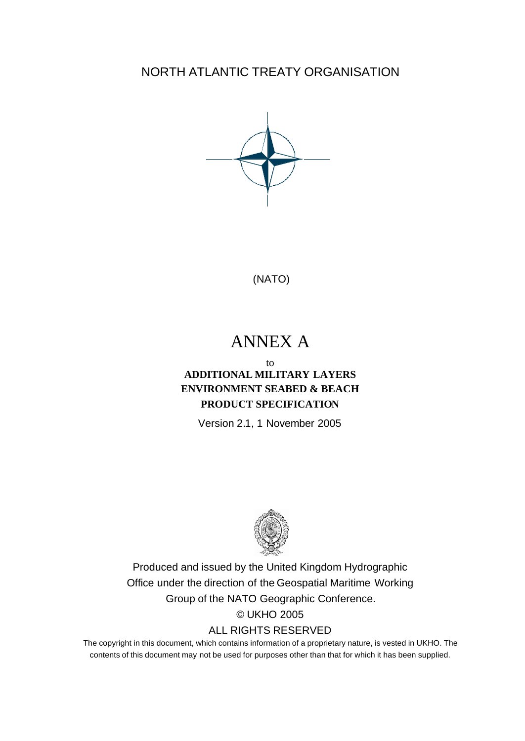NORTH ATLANTIC TREATY ORGANISATION



(NATO)

# ANNEX A

### to **ADDITIONAL MILITARY LAYERS ENVIRONMENT SEABED & BEACH PRODUCT SPECIFICATION**

Version 2.1, 1 November 2005



Produced and issued by the United Kingdom Hydrographic Office under the direction of the Geospatial Maritime Working Group of the NATO Geographic Conference. © UKHO 2005

### ALL RIGHTS RESERVED

The copyright in this document, which contains information of a proprietary nature, is vested in UKHO. The contents of this document may not be used for purposes other than that for which it has been supplied.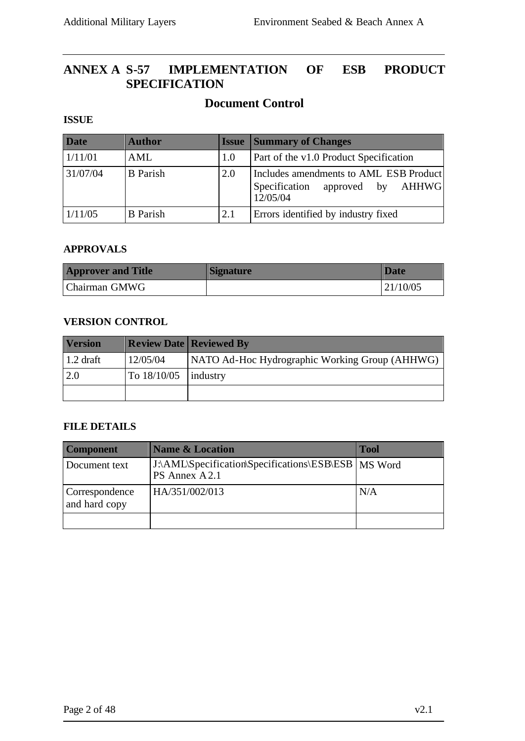# **ANNEX A S-57 IMPLEMENTATION OF ESB PRODUCT SPECIFICATION**

# **Document Control**

#### **ISSUE**

| <b>Date</b> | <b>Author</b>   | <b>Issue</b> | <b>Summary of Changes</b>                                                                   |  |  |  |
|-------------|-----------------|--------------|---------------------------------------------------------------------------------------------|--|--|--|
| 1/11/01     | AML             | 1.0          | <b>Part of the v1.0 Product Specification</b>                                               |  |  |  |
| 31/07/04    | <b>B</b> Parish | 2.0          | Includes amendments to AML ESB Product<br>approved by<br>Specification<br>AHHWG<br>12/05/04 |  |  |  |
| 1/11/05     | <b>B</b> Parish | 2.1          | Errors identified by industry fixed                                                         |  |  |  |

#### **APPROVALS**

| <b>Approver and Title</b> | <b>Signature</b> | <b>Date</b> |
|---------------------------|------------------|-------------|
| Chairman GMWG             |                  | 121/10/05   |

#### **VERSION CONTROL**

| <b>Version</b>    |             | <b>Review Date   Reviewed By</b>               |
|-------------------|-------------|------------------------------------------------|
| $\vert$ 1.2 draft | 12/05/04    | NATO Ad-Hoc Hydrographic Working Group (AHHWG) |
| 2.0               | To 18/10/05 | industry                                       |
|                   |             |                                                |

#### **FILE DETAILS**

| <b>Component</b>                | <b>Name &amp; Location</b>                                             | <b>Tool</b> |
|---------------------------------|------------------------------------------------------------------------|-------------|
| Document text                   | J:\AML\Specification\Specifications\ESB\ESB   MS Word<br>PS Annex A2.1 |             |
| Correspondence<br>and hard copy | HA/351/002/013                                                         | N/A         |
|                                 |                                                                        |             |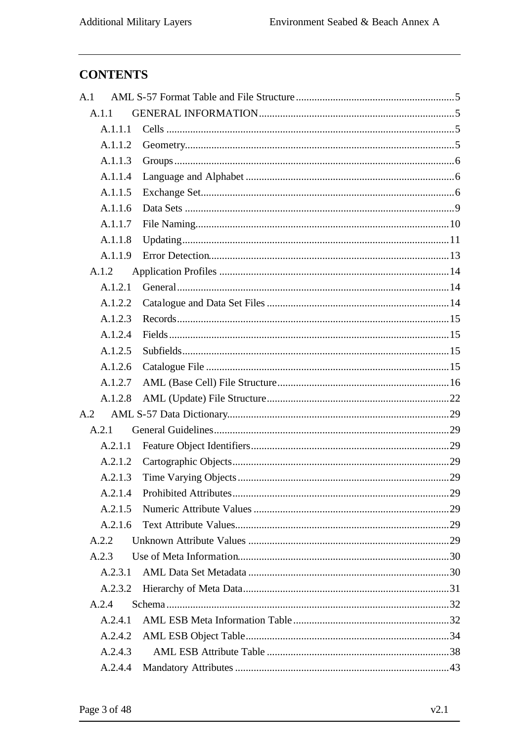# **CONTENTS**

| A.1     |  |
|---------|--|
| A.1.1   |  |
| A.1.1.1 |  |
| A.1.1.2 |  |
| A.1.1.3 |  |
| A.1.1.4 |  |
| A.1.1.5 |  |
| A.1.1.6 |  |
| A.1.1.7 |  |
| A.1.1.8 |  |
| A.1.1.9 |  |
| A.1.2   |  |
| A.1.2.1 |  |
| A.1.2.2 |  |
| A.1.2.3 |  |
| A.1.2.4 |  |
| A.1.2.5 |  |
| A.1.2.6 |  |
| A.1.2.7 |  |
| A.1.2.8 |  |
| A.2     |  |
| A.2.1   |  |
| A.2.1.1 |  |
| A.2.1.2 |  |
| A.2.1.3 |  |
| A.2.1.4 |  |
| A.2.1.5 |  |
| A.2.1.6 |  |
| A.2.2   |  |
| A.2.3   |  |
| A.2.3.1 |  |
| A.2.3.2 |  |
| A.2.4   |  |
| A.2.4.1 |  |
| A.2.4.2 |  |
| A.2.4.3 |  |
| A.2.4.4 |  |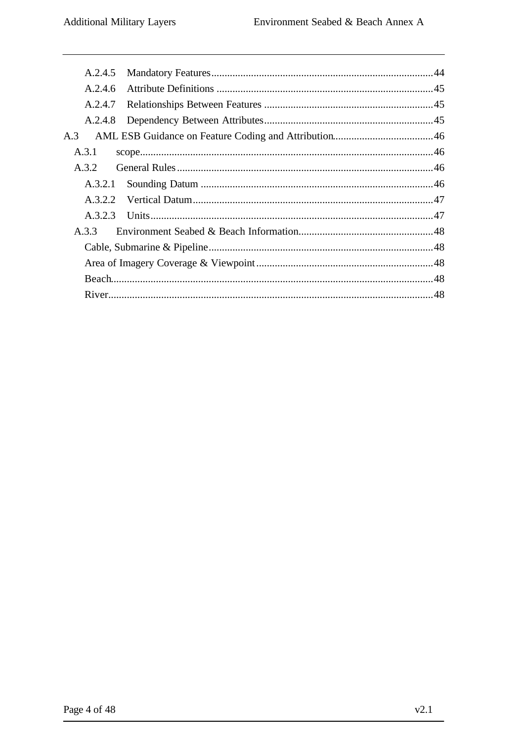| A.2.4.5 |  |
|---------|--|
| A.2.4.6 |  |
| A.2.4.7 |  |
| A.2.4.8 |  |
| A.3     |  |
| A.3.1   |  |
| A.3.2   |  |
|         |  |
|         |  |
| A.3.2.3 |  |
| $A$ 3.3 |  |
|         |  |
|         |  |
|         |  |
|         |  |
|         |  |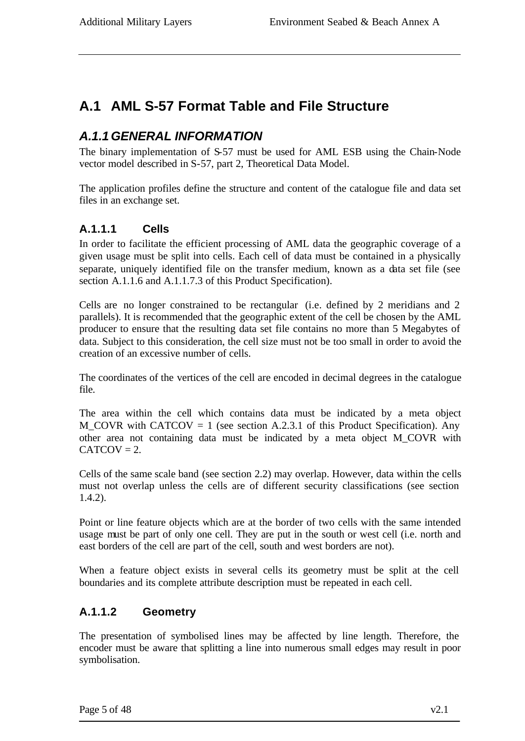# **A.1 AML S-57 Format Table and File Structure**

# *A.1.1GENERAL INFORMATION*

The binary implementation of S-57 must be used for AML ESB using the Chain-Node vector model described in S-57, part 2, Theoretical Data Model.

The application profiles define the structure and content of the catalogue file and data set files in an exchange set.

# **A.1.1.1 Cells**

In order to facilitate the efficient processing of AML data the geographic coverage of a given usage must be split into cells. Each cell of data must be contained in a physically separate, uniquely identified file on the transfer medium, known as a data set file (see section A.1.1.6 and A.1.1.7.3 of this Product Specification).

Cells are no longer constrained to be rectangular (i.e. defined by 2 meridians and 2 parallels). It is recommended that the geographic extent of the cell be chosen by the AML producer to ensure that the resulting data set file contains no more than 5 Megabytes of data. Subject to this consideration, the cell size must not be too small in order to avoid the creation of an excessive number of cells.

The coordinates of the vertices of the cell are encoded in decimal degrees in the catalogue file.

The area within the cell which contains data must be indicated by a meta object  $M_{\text{C}}$  M\_COVR with CATCOV = 1 (see section A.2.3.1 of this Product Specification). Any other area not containing data must be indicated by a meta object M\_COVR with  $CATCOV = 2.$ 

Cells of the same scale band (see section 2.2) may overlap. However, data within the cells must not overlap unless the cells are of different security classifications (see section 1.4.2).

Point or line feature objects which are at the border of two cells with the same intended usage must be part of only one cell. They are put in the south or west cell (i.e. north and east borders of the cell are part of the cell, south and west borders are not).

When a feature object exists in several cells its geometry must be split at the cell boundaries and its complete attribute description must be repeated in each cell.

### **A.1.1.2 Geometry**

The presentation of symbolised lines may be affected by line length. Therefore, the encoder must be aware that splitting a line into numerous small edges may result in poor symbolisation.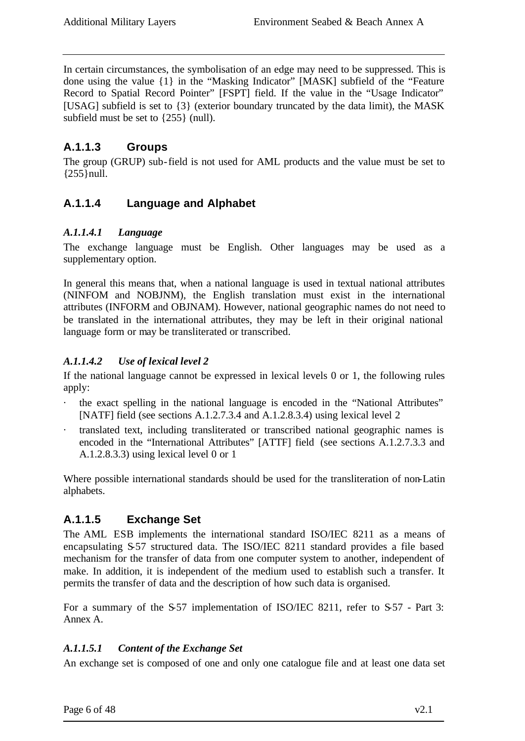In certain circumstances, the symbolisation of an edge may need to be suppressed. This is done using the value {1} in the "Masking Indicator" [MASK] subfield of the "Feature Record to Spatial Record Pointer" [FSPT] field. If the value in the "Usage Indicator" [USAG] subfield is set to  $\{3\}$  (exterior boundary truncated by the data limit), the MASK subfield must be set to {255} (null).

### **A.1.1.3 Groups**

The group (GRUP) sub-field is not used for AML products and the value must be set to  ${255}$  hull.

## **A.1.1.4 Language and Alphabet**

### *A.1.1.4.1 Language*

The exchange language must be English. Other languages may be used as a supplementary option.

In general this means that, when a national language is used in textual national attributes (NINFOM and NOBJNM), the English translation must exist in the international attributes (INFORM and OBJNAM). However, national geographic names do not need to be translated in the international attributes, they may be left in their original national language form or may be transliterated or transcribed.

### *A.1.1.4.2 Use of lexical level 2*

If the national language cannot be expressed in lexical levels 0 or 1, the following rules apply:

- · the exact spelling in the national language is encoded in the "National Attributes" [NATF] field (see sections A.1.2.7.3.4 and A.1.2.8.3.4) using lexical level 2
- translated text, including transliterated or transcribed national geographic names is encoded in the "International Attributes" [ATTF] field (see sections A.1.2.7.3.3 and A.1.2.8.3.3) using lexical level 0 or 1

Where possible international standards should be used for the transliteration of non-Latin alphabets.

# **A.1.1.5 Exchange Set**

The AML ESB implements the international standard ISO/IEC 8211 as a means of encapsulating S-57 structured data. The ISO/IEC 8211 standard provides a file based mechanism for the transfer of data from one computer system to another, independent of make. In addition, it is independent of the medium used to establish such a transfer. It permits the transfer of data and the description of how such data is organised.

For a summary of the S-57 implementation of ISO/IEC 8211, refer to S-57 - Part 3: Annex A.

### *A.1.1.5.1 Content of the Exchange Set*

An exchange set is composed of one and only one catalogue file and at least one data set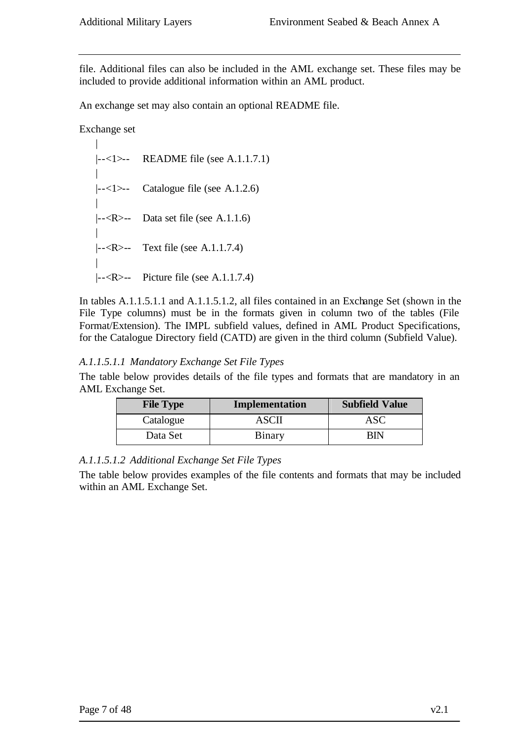file. Additional files can also be included in the AML exchange set. These files may be included to provide additional information within an AML product.

An exchange set may also contain an optional README file.

Exchange set

| |--<1>-- README file (see A.1.1.7.1) |  $\left| \left| \right| <-1 \right\rangle$  - Catalogue file (see A.1.2.6) |  $\left| \left| \right|$  - <R>-- Data set file (see A.1.1.6) |  $\left| - \langle R \rangle - \right|$  Text file (see A.1.1.7.4) | |--<R>-- Picture file (see A.1.1.7.4)

In tables A.1.1.5.1.1 and A.1.1.5.1.2, all files contained in an Exchange Set (shown in the File Type columns) must be in the formats given in column two of the tables (File Format/Extension). The IMPL subfield values, defined in AML Product Specifications, for the Catalogue Directory field (CATD) are given in the third column (Subfield Value).

#### *A.1.1.5.1.1 Mandatory Exchange Set File Types*

The table below provides details of the file types and formats that are mandatory in an AML Exchange Set.

| <b>File Type</b> | Implementation | <b>Subfield Value</b> |  |
|------------------|----------------|-----------------------|--|
| Catalogue        | ASCII          | ASC                   |  |
| Data Set         | Binary         | BIN                   |  |

*A.1.1.5.1.2 Additional Exchange Set File Types*

The table below provides examples of the file contents and formats that may be included within an AML Exchange Set.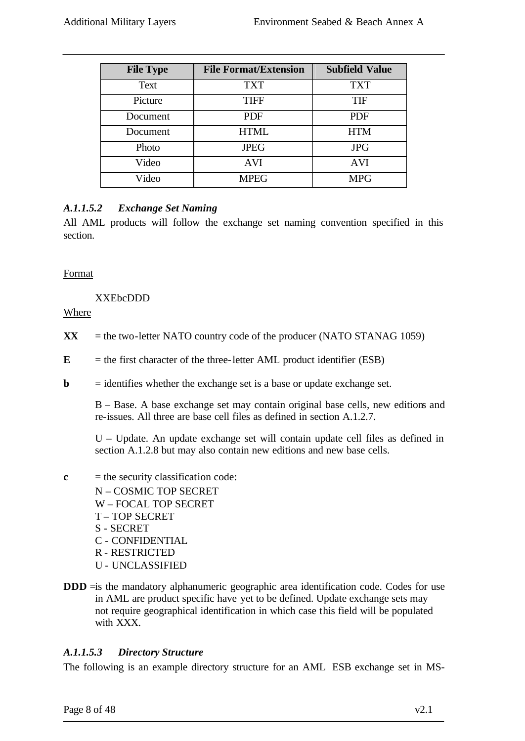| <b>File Type</b> | <b>File Format/Extension</b> | <b>Subfield Value</b> |  |
|------------------|------------------------------|-----------------------|--|
| Text             | <b>TXT</b>                   | <b>TXT</b>            |  |
| Picture          | <b>TIFF</b>                  | <b>TIF</b>            |  |
| Document         | <b>PDF</b>                   | <b>PDF</b>            |  |
| Document         | <b>HTML</b>                  | <b>HTM</b>            |  |
| Photo            | <b>JPEG</b>                  | <b>JPG</b>            |  |
| Video            | <b>AVI</b>                   | <b>AVI</b>            |  |
| Video            | <b>MPEG</b>                  | <b>MPG</b>            |  |

### *A.1.1.5.2 Exchange Set Naming*

All AML products will follow the exchange set naming convention specified in this section.

#### Format

XXEbcDDD

#### Where

 $\bf{XX}$  = the two-letter NATO country code of the producer (NATO STANAG 1059)

- $\mathbf{E}$  = the first character of the three-letter AML product identifier (ESB)
- **= identifies whether the exchange set is a base or update exchange set.**

B – Base. A base exchange set may contain original base cells, new editions and re-issues. All three are base cell files as defined in section A.1.2.7.

U – Update. An update exchange set will contain update cell files as defined in section A.1.2.8 but may also contain new editions and new base cells.

- $c =$  the security classification code:
	- N COSMIC TOP SECRET W – FOCAL TOP SECRET T – TOP SECRET S - SECRET C - CONFIDENTIAL R - RESTRICTED U - UNCLASSIFIED
- **DDD**  $\equiv$ is the mandatory alphanumeric geographic area identification code. Codes for use in AML are product specific have yet to be defined. Update exchange sets may not require geographical identification in which case this field will be populated with XXX.

### *A.1.1.5.3 Directory Structure*

The following is an example directory structure for an AML ESB exchange set in MS-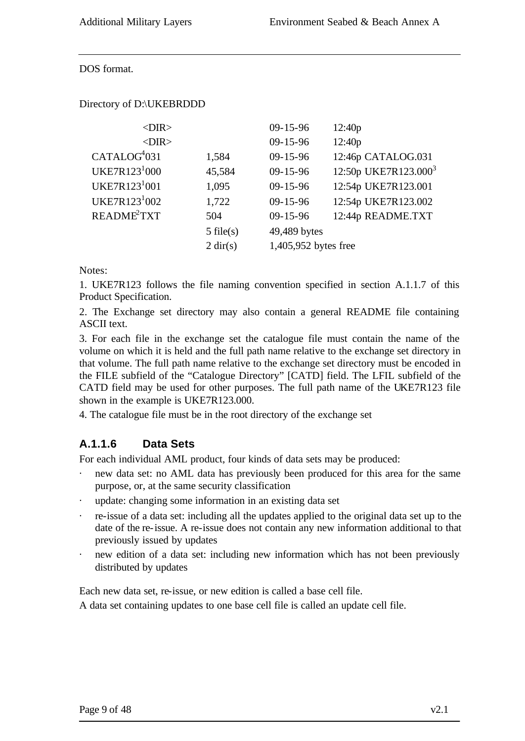#### DOS format.

#### Directory of D:\UKEBRDDD

| $<$ DIR $>$               |                    | $09 - 15 - 96$       | 12:40p                           |
|---------------------------|--------------------|----------------------|----------------------------------|
| $<$ DIR $>$               |                    | $09 - 15 - 96$       | 12:40p                           |
| CATALOG <sup>4</sup> 031  | 1,584              | $09 - 15 - 96$       | 12:46p CATALOG.031               |
| UKE7R $123^{1000}$        | 45,584             | $09 - 15 - 96$       | 12:50p UKE7R123.000 <sup>3</sup> |
| UKE7R123 <sup>1</sup> 001 | 1,095              | $09 - 15 - 96$       | 12:54p UKE7R123.001              |
| UKE7R123 <sup>1</sup> 002 | 1,722              | $09 - 15 - 96$       | 12:54p UKE7R123.002              |
| README <sup>2</sup> TXT   | 504                | $09 - 15 - 96$       | 12:44p README.TXT                |
|                           | $5$ file(s)        | 49,489 bytes         |                                  |
|                           | $2 \text{ dir}(s)$ | 1,405,952 bytes free |                                  |
|                           |                    |                      |                                  |

#### Notes:

1. UKE7R123 follows the file naming convention specified in section A.1.1.7 of this Product Specification.

2. The Exchange set directory may also contain a general README file containing ASCII text.

3. For each file in the exchange set the catalogue file must contain the name of the volume on which it is held and the full path name relative to the exchange set directory in that volume. The full path name relative to the exchange set directory must be encoded in the FILE subfield of the "Catalogue Directory" [CATD] field. The LFIL subfield of the CATD field may be used for other purposes. The full path name of the UKE7R123 file shown in the example is UKE7R123.000.

4. The catalogue file must be in the root directory of the exchange set

### **A.1.1.6 Data Sets**

For each individual AML product, four kinds of data sets may be produced:

- new data set: no AML data has previously been produced for this area for the same purpose, or, at the same security classification
- update: changing some information in an existing data set
- · re-issue of a data set: including all the updates applied to the original data set up to the date of the re-issue. A re-issue does not contain any new information additional to that previously issued by updates
- new edition of a data set: including new information which has not been previously distributed by updates

Each new data set, re-issue, or new edition is called a base cell file.

A data set containing updates to one base cell file is called an update cell file.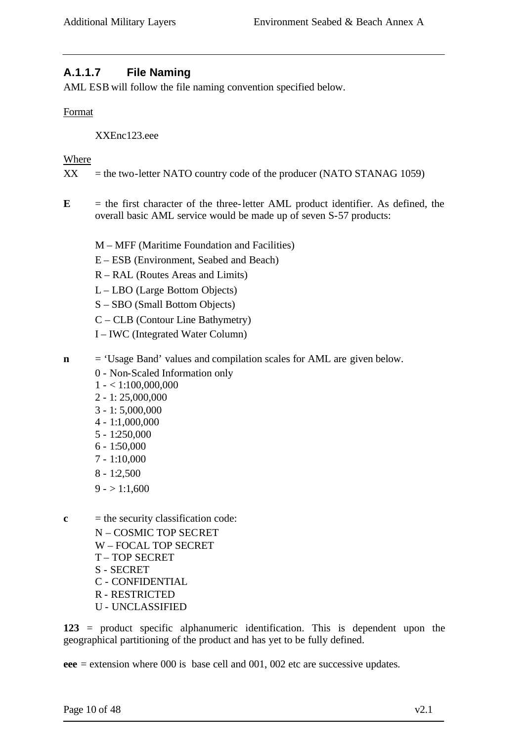### **A.1.1.7 File Naming**

AML ESB will follow the file naming convention specified below.

#### Format

XXEnc123.eee

#### Where

 $XX =$  the two-letter NATO country code of the producer (NATO STANAG 1059)

- $\mathbf{E}$  = the first character of the three-letter AML product identifier. As defined, the overall basic AML service would be made up of seven S-57 products:
	- M MFF (Maritime Foundation and Facilities)
	- E ESB (Environment, Seabed and Beach)
	- R RAL (Routes Areas and Limits)
	- L LBO (Large Bottom Objects)
	- S SBO (Small Bottom Objects)
	- C CLB (Contour Line Bathymetry)
	- I IWC (Integrated Water Column)
- **n** = 'Usage Band' values and compilation scales for AML are given below.
	- 0 Non-Scaled Information only
	- $1 1:100,000,000$
	- 2 1: 25,000,000
	- 3 1: 5,000,000
	- 4 1:1,000,000
	- 5 1:250,000
	- 6 1:50,000
	- 7 1:10,000
	- 8 1:2,500
	- $9 1:1,600$
- $c =$  the security classification code:
	- N COSMIC TOP SECRET W – FOCAL TOP SECRET T – TOP SECRET S - SECRET C - CONFIDENTIAL R - RESTRICTED U - UNCLASSIFIED

**123** = product specific alphanumeric identification. This is dependent upon the geographical partitioning of the product and has yet to be fully defined.

**eee** = extension where 000 is base cell and 001, 002 etc are successive updates.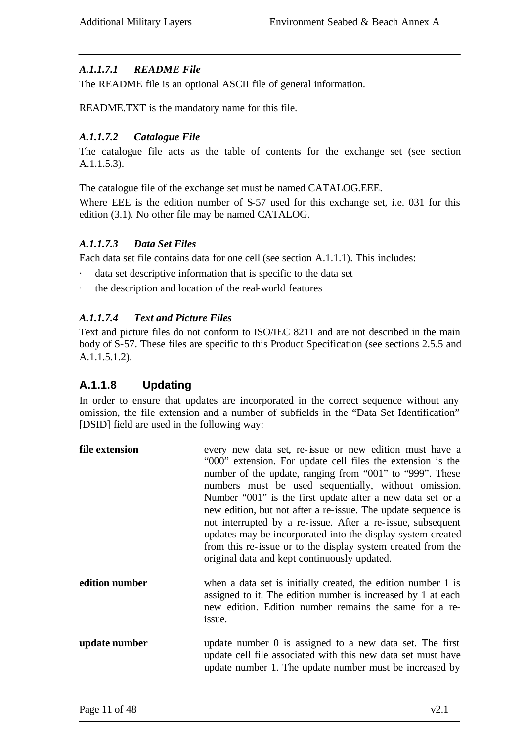### *A.1.1.7.1 README File*

The README file is an optional ASCII file of general information.

README.TXT is the mandatory name for this file.

#### *A.1.1.7.2 Catalogue File*

The catalogue file acts as the table of contents for the exchange set (see section A.1.1.5.3).

The catalogue file of the exchange set must be named CATALOG.EEE.

Where EEE is the edition number of S-57 used for this exchange set, i.e. 031 for this edition (3.1). No other file may be named CATALOG.

#### *A.1.1.7.3 Data Set Files*

Each data set file contains data for one cell (see section A.1.1.1). This includes:

- · data set descriptive information that is specific to the data set
- · the description and location of the real-world features

#### *A.1.1.7.4 Text and Picture Files*

Text and picture files do not conform to ISO/IEC 8211 and are not described in the main body of S-57. These files are specific to this Product Specification (see sections 2.5.5 and A.1.1.5.1.2).

### **A.1.1.8 Updating**

In order to ensure that updates are incorporated in the correct sequence without any omission, the file extension and a number of subfields in the "Data Set Identification" [DSID] field are used in the following way:

| file extension | every new data set, re-issue or new edition must have a<br>"000" extension. For update cell files the extension is the<br>number of the update, ranging from "001" to "999". These<br>numbers must be used sequentially, without omission.<br>Number "001" is the first update after a new data set or a<br>new edition, but not after a re-issue. The update sequence is<br>not interrupted by a re-issue. After a re-issue, subsequent<br>updates may be incorporated into the display system created<br>from this re-issue or to the display system created from the<br>original data and kept continuously updated. |
|----------------|-------------------------------------------------------------------------------------------------------------------------------------------------------------------------------------------------------------------------------------------------------------------------------------------------------------------------------------------------------------------------------------------------------------------------------------------------------------------------------------------------------------------------------------------------------------------------------------------------------------------------|
| edition number | when a data set is initially created, the edition number 1 is<br>assigned to it. The edition number is increased by 1 at each<br>new edition. Edition number remains the same for a re-<br>issue.                                                                                                                                                                                                                                                                                                                                                                                                                       |
| update number  | update number 0 is assigned to a new data set. The first<br>update cell file associated with this new data set must have<br>update number 1. The update number must be increased by                                                                                                                                                                                                                                                                                                                                                                                                                                     |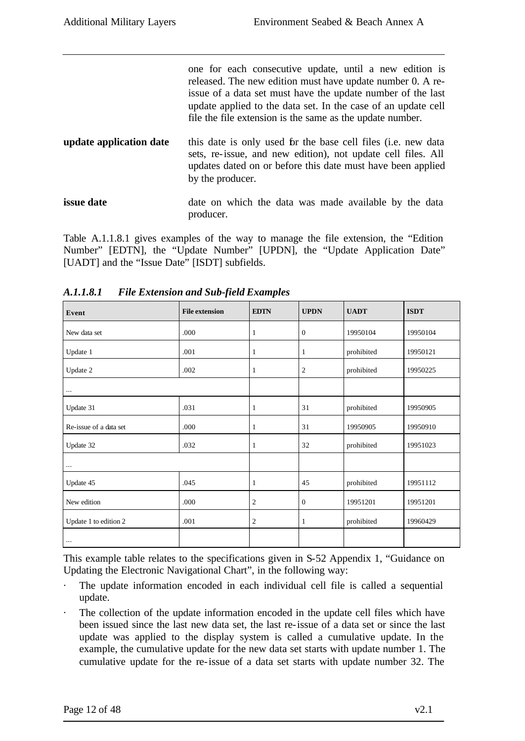|                         | one for each consecutive update, until a new edition is<br>released. The new edition must have update number 0. A re-<br>issue of a data set must have the update number of the last<br>update applied to the data set. In the case of an update cell<br>file the file extension is the same as the update number. |  |  |  |
|-------------------------|--------------------------------------------------------------------------------------------------------------------------------------------------------------------------------------------------------------------------------------------------------------------------------------------------------------------|--|--|--|
| update application date | this date is only used for the base cell files (i.e. new data<br>sets, re-issue, and new edition), not update cell files. All<br>updates dated on or before this date must have been applied<br>by the producer.                                                                                                   |  |  |  |
| issue date              | date on which the data was made available by the data<br>producer.                                                                                                                                                                                                                                                 |  |  |  |

Table A.1.1.8.1 gives examples of the way to manage the file extension, the "Edition Number" [EDTN], the "Update Number" [UPDN], the "Update Application Date" [UADT] and the "Issue Date" [ISDT] subfields.

| Event                  | <b>File extension</b> | <b>EDTN</b>      | <b>UPDN</b>      | <b>UADT</b> | <b>ISDT</b> |
|------------------------|-----------------------|------------------|------------------|-------------|-------------|
| New data set           | .000                  | 1                | $\mathbf{0}$     | 19950104    | 19950104    |
| Update 1               | .001                  | $\mathbf{1}$     | 1                | prohibited  | 19950121    |
| Update 2               | .002                  | 1                | $\mathfrak{2}$   | prohibited  | 19950225    |
| $\cdots$               |                       |                  |                  |             |             |
| Update 31              | .031                  | 1                | 31               | prohibited  | 19950905    |
| Re-issue of a data set | .000                  | 1                | 31               | 19950905    | 19950910    |
| Update 32              | .032                  | 1                | 32               | prohibited  | 19951023    |
| $\cdots$               |                       |                  |                  |             |             |
| Update 45              | .045                  | 1                | 45               | prohibited  | 19951112    |
| New edition            | .000                  | $\boldsymbol{2}$ | $\boldsymbol{0}$ | 19951201    | 19951201    |
| Update 1 to edition 2  | .001                  | 2                | 1                | prohibited  | 19960429    |
| $\cdots$               |                       |                  |                  |             |             |

*A.1.1.8.1 File Extension and Sub-field Examples*

This example table relates to the specifications given in S-52 Appendix 1, "Guidance on Updating the Electronic Navigational Chart", in the following way:

- The update information encoded in each individual cell file is called a sequential update.
- The collection of the update information encoded in the update cell files which have been issued since the last new data set, the last re-issue of a data set or since the last update was applied to the display system is called a cumulative update. In the example, the cumulative update for the new data set starts with update number 1. The cumulative update for the re-issue of a data set starts with update number 32. The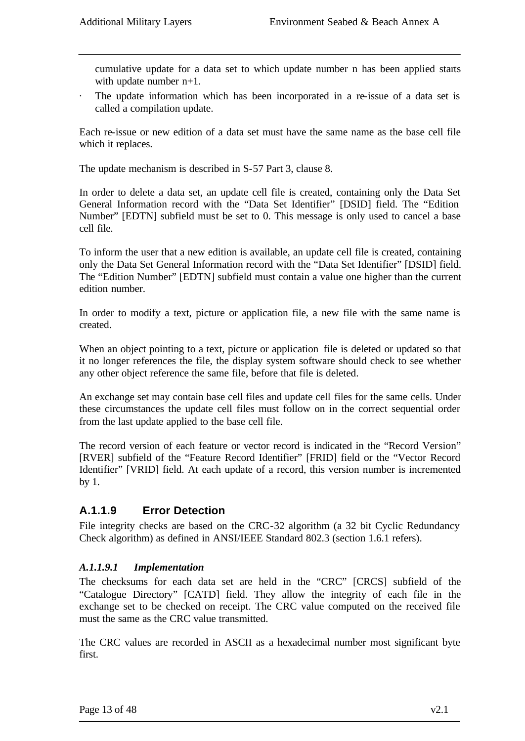cumulative update for a data set to which update number n has been applied starts with update number  $n+1$ .

The update information which has been incorporated in a re-issue of a data set is called a compilation update.

Each re-issue or new edition of a data set must have the same name as the base cell file which it replaces.

The update mechanism is described in S-57 Part 3, clause 8.

In order to delete a data set, an update cell file is created, containing only the Data Set General Information record with the "Data Set Identifier" [DSID] field. The "Edition Number" [EDTN] subfield must be set to 0. This message is only used to cancel a base cell file.

To inform the user that a new edition is available, an update cell file is created, containing only the Data Set General Information record with the "Data Set Identifier" [DSID] field. The "Edition Number" [EDTN] subfield must contain a value one higher than the current edition number.

In order to modify a text, picture or application file, a new file with the same name is created.

When an object pointing to a text, picture or application file is deleted or updated so that it no longer references the file, the display system software should check to see whether any other object reference the same file, before that file is deleted.

An exchange set may contain base cell files and update cell files for the same cells. Under these circumstances the update cell files must follow on in the correct sequential order from the last update applied to the base cell file.

The record version of each feature or vector record is indicated in the "Record Version" [RVER] subfield of the "Feature Record Identifier" [FRID] field or the "Vector Record Identifier" [VRID] field. At each update of a record, this version number is incremented by 1.

### **A.1.1.9 Error Detection**

File integrity checks are based on the CRC-32 algorithm (a 32 bit Cyclic Redundancy Check algorithm) as defined in ANSI/IEEE Standard 802.3 (section 1.6.1 refers).

#### *A.1.1.9.1 Implementation*

The checksums for each data set are held in the "CRC" [CRCS] subfield of the "Catalogue Directory" [CATD] field. They allow the integrity of each file in the exchange set to be checked on receipt. The CRC value computed on the received file must the same as the CRC value transmitted.

The CRC values are recorded in ASCII as a hexadecimal number most significant byte first.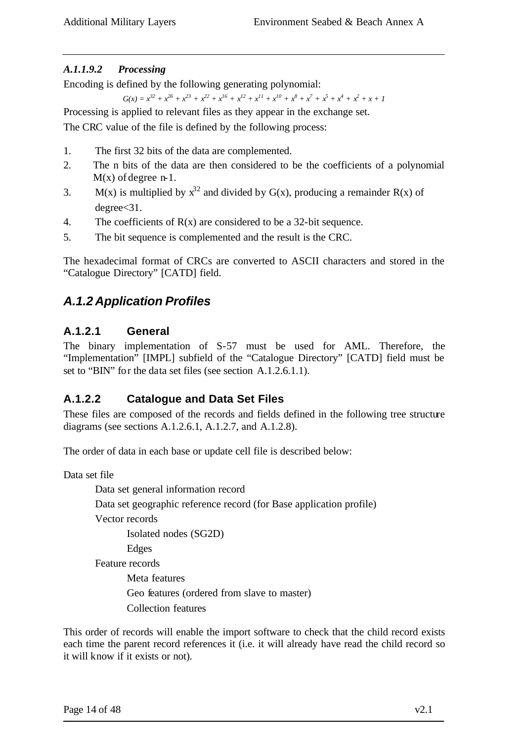### *A.1.1.9.2 Processing*

Encoding is defined by the following generating polynomial:

 $G(x) = x^{32} + x^{26} + x^{23} + x^{22} + x^{16} + x^{12} + x^{11} + x^{10} + x^8 + x^7 + x^5 + x^4 + x^2 + x + 1$ 

Processing is applied to relevant files as they appear in the exchange set.

The CRC value of the file is defined by the following process:

- 1. The first 32 bits of the data are complemented.
- 2. The n bits of the data are then considered to be the coefficients of a polynomial  $M(x)$  of degree n-1.
- 3. M(x) is multiplied by  $x^{32}$  and divided by G(x), producing a remainder R(x) of degree<31.
- 4. The coefficients of  $R(x)$  are considered to be a 32-bit sequence.
- 5. The bit sequence is complemented and the result is the CRC.

The hexadecimal format of CRCs are converted to ASCII characters and stored in the "Catalogue Directory" [CATD] field.

# *A.1.2 Application Profiles*

### **A.1.2.1 General**

The binary implementation of S-57 must be used for AML. Therefore, the "Implementation" [IMPL] subfield of the "Catalogue Directory" [CATD] field must be set to "BIN" for the data set files (see section A.1.2.6.1.1).

### **A.1.2.2 Catalogue and Data Set Files**

These files are composed of the records and fields defined in the following tree structure diagrams (see sections A.1.2.6.1, A.1.2.7, and A.1.2.8).

The order of data in each base or update cell file is described below:

Data set file

Data set general information record

Data set geographic reference record (for Base application profile)

Vector records

Isolated nodes (SG2D)

Edges

Feature records

Meta features Geo features (ordered from slave to master) Collection features

This order of records will enable the import software to check that the child record exists each time the parent record references it (i.e. it will already have read the child record so it will know if it exists or not).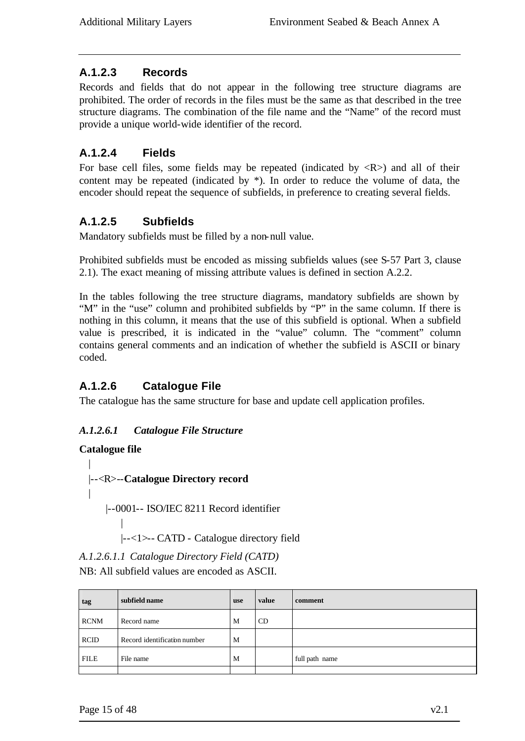### **A.1.2.3 Records**

Records and fields that do not appear in the following tree structure diagrams are prohibited. The order of records in the files must be the same as that described in the tree structure diagrams. The combination of the file name and the "Name" of the record must provide a unique world-wide identifier of the record.

### **A.1.2.4 Fields**

For base cell files, some fields may be repeated (indicated by  $\langle R \rangle$ ) and all of their content may be repeated (indicated by \*). In order to reduce the volume of data, the encoder should repeat the sequence of subfields, in preference to creating several fields.

### **A.1.2.5 Subfields**

Mandatory subfields must be filled by a non-null value.

Prohibited subfields must be encoded as missing subfields values (see S-57 Part 3, clause 2.1). The exact meaning of missing attribute values is defined in section A.2.2.

In the tables following the tree structure diagrams, mandatory subfields are shown by "M" in the "use" column and prohibited subfields by "P" in the same column. If there is nothing in this column, it means that the use of this subfield is optional. When a subfield value is prescribed, it is indicated in the "value" column. The "comment" column contains general comments and an indication of whether the subfield is ASCII or binary coded.

### **A.1.2.6 Catalogue File**

The catalogue has the same structure for base and update cell application profiles.

#### *A.1.2.6.1 Catalogue File Structure*

#### **Catalogue file**

|

```
|
|--<R>--Catalogue Directory record
|
```
|--0001-- ISO/IEC 8211 Record identifier

|--<1>-- CATD - Catalogue directory field

*A.1.2.6.1.1 Catalogue Directory Field (CATD)* NB: All subfield values are encoded as ASCII.

| tag         | subfield name                | <b>use</b> | value     | comment        |
|-------------|------------------------------|------------|-----------|----------------|
| <b>RCNM</b> | Record name                  | M          | <b>CD</b> |                |
| <b>RCID</b> | Record identification number | M          |           |                |
| <b>FILE</b> | File name                    | M          |           | full path name |
|             |                              |            |           |                |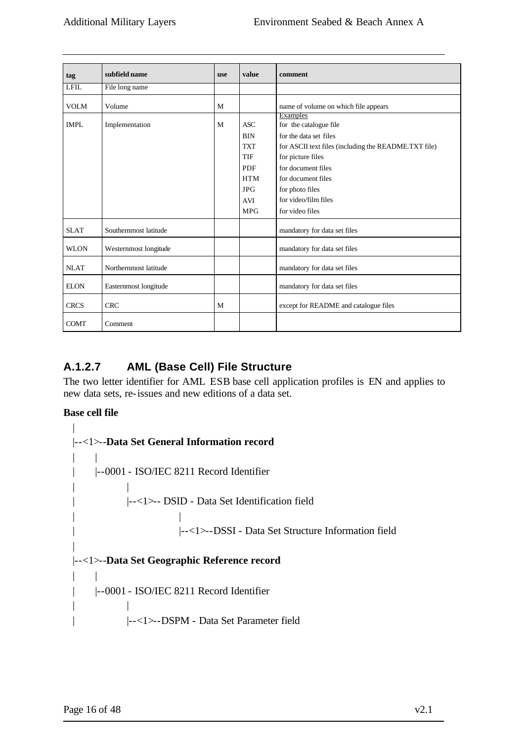| tag         | subfield name         | <b>use</b> | value                                                                                                                      | comment                                                                                                                                                                                                                                             |
|-------------|-----------------------|------------|----------------------------------------------------------------------------------------------------------------------------|-----------------------------------------------------------------------------------------------------------------------------------------------------------------------------------------------------------------------------------------------------|
| <b>LFIL</b> | File long name        |            |                                                                                                                            |                                                                                                                                                                                                                                                     |
| <b>VOLM</b> | Volume                | M          |                                                                                                                            | name of volume on which file appears                                                                                                                                                                                                                |
| <b>IMPL</b> | Implementation        | M          | <b>ASC</b><br><b>BIN</b><br><b>TXT</b><br><b>TIF</b><br><b>PDF</b><br><b>HTM</b><br><b>JPG</b><br><b>AVI</b><br><b>MPG</b> | Examples<br>for the catalogue file<br>for the data set files<br>for ASCII text files (including the README.TXT file)<br>for picture files<br>for document files<br>for document files<br>for photo files<br>for video/film files<br>for video files |
| <b>SLAT</b> | Southernmost latitude |            |                                                                                                                            | mandatory for data set files                                                                                                                                                                                                                        |
| <b>WLON</b> | Westernmost longitude |            |                                                                                                                            | mandatory for data set files                                                                                                                                                                                                                        |
| <b>NLAT</b> | Northernmost latitude |            |                                                                                                                            | mandatory for data set files                                                                                                                                                                                                                        |
| <b>ELON</b> | Easternmost longitude |            |                                                                                                                            | mandatory for data set files                                                                                                                                                                                                                        |
| <b>CRCS</b> | <b>CRC</b>            | M          |                                                                                                                            | except for README and catalogue files                                                                                                                                                                                                               |
| <b>COMT</b> | Comment               |            |                                                                                                                            |                                                                                                                                                                                                                                                     |

# **A.1.2.7 AML (Base Cell) File Structure**

The two letter identifier for AML ESB base cell application profiles is EN and applies to new data sets, re-issues and new editions of a data set.

#### **Base cell file**

| |--<1>--**Data Set General Information record** | | | |--0001 - ISO/IEC 8211 Record Identifier | | | |--<1>-- DSID - Data Set Identification field | | | |--<1>--DSSI - Data Set Structure Information field | |--<1>--**Data Set Geographic Reference record** | | | |--0001 - ISO/IEC 8211 Record Identifier | | | |--<1>--DSPM - Data Set Parameter field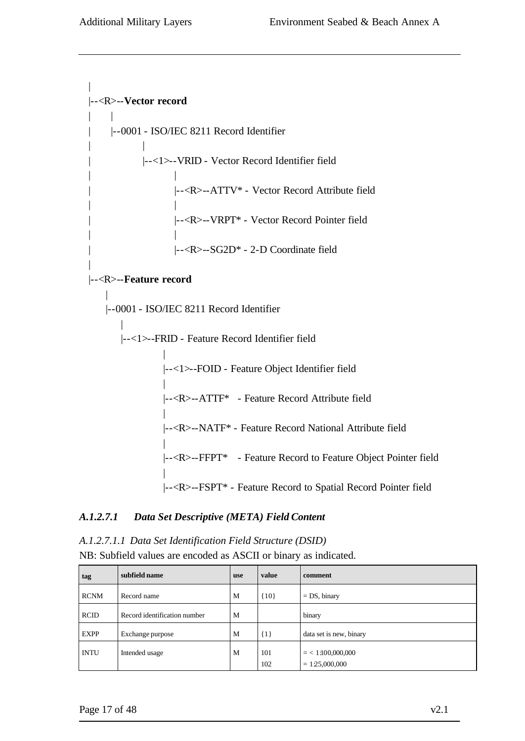|

|

```
|--<R>--Vector record
| \cdot || |--0001 - ISO/IEC 8211 Record Identifier
| |
           | |--<1>--VRID - Vector Record Identifier field
| |
                  | |--<R>--ATTV* - Vector Record Attribute field
| |
                  | |--<R>--VRPT* - Vector Record Pointer field
| |
                  | |--<R>--SG2D* - 2-D Coordinate field
|--<R>--Feature record
    |
   |--0001 - ISO/IEC 8211 Record Identifier
       |
      |--<1>--FRID - Feature Record Identifier field
                |
                |--<1>--FOID - Feature Object Identifier field
                |
                |--<R>--ATTF* - Feature Record Attribute field
                |
                |--<R>--NATF* - Feature Record National Attribute field
                |
                |--<R>--FFPT* - Feature Record to Feature Object Pointer field
                |
                |--<R>--FSPT* - Feature Record to Spatial Record Pointer field
```
#### *A.1.2.7.1 Data Set Descriptive (META) Field Content*

*A.1.2.7.1.1 Data Set Identification Field Structure (DSID)* NB: Subfield values are encoded as ASCII or binary as indicated.

| tag         | subfield name                | <b>use</b> | value      | comment                                |
|-------------|------------------------------|------------|------------|----------------------------------------|
| <b>RCNM</b> | Record name                  | M          | 10         | $= DS$ , binary                        |
| <b>RCID</b> | Record identification number | M          |            | binary                                 |
| <b>EXPP</b> | Exchange purpose             | M          | ${1}$      | data set is new, binary                |
| <b>INTU</b> | Intended usage               | M          | 101<br>102 | $=$ < 1:100,000,000<br>$= 125,000,000$ |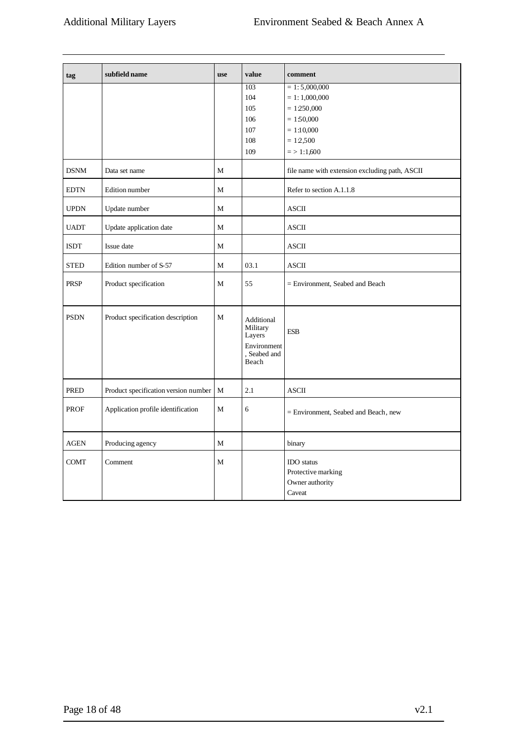| tag                          | subfield name                            | use | value                                                                    | comment                                                              |
|------------------------------|------------------------------------------|-----|--------------------------------------------------------------------------|----------------------------------------------------------------------|
|                              |                                          |     | 103                                                                      | $= 1: 5,000,000$                                                     |
|                              |                                          |     | 104                                                                      | $= 1: 1,000,000$                                                     |
|                              |                                          |     | 105                                                                      | $= 1250,000$                                                         |
|                              |                                          |     | 106                                                                      | $= 150,000$                                                          |
|                              |                                          |     | 107                                                                      | $= 1:10,000$                                                         |
|                              |                                          |     | 108                                                                      | $= 12,500$                                                           |
|                              |                                          |     | 109                                                                      | $=$ > 1:1,600                                                        |
| <b>DSNM</b>                  | Data set name                            | M   |                                                                          | file name with extension excluding path, ASCII                       |
| <b>EDTN</b>                  | Edition number                           | M   |                                                                          | Refer to section A.1.1.8                                             |
| <b>UPDN</b>                  | Update number                            | M   |                                                                          | <b>ASCII</b>                                                         |
| <b>UADT</b>                  | Update application date                  | M   |                                                                          | <b>ASCII</b>                                                         |
| $\ensuremath{\mathsf{ISDT}}$ | Issue date                               | M   |                                                                          | <b>ASCII</b>                                                         |
| <b>STED</b>                  | Edition number of S-57                   | M   | 03.1                                                                     | <b>ASCII</b>                                                         |
| <b>PRSP</b>                  | Product specification                    | M   | 55                                                                       | = Environment, Seabed and Beach                                      |
| <b>PSDN</b>                  | Product specification description        | M   | Additional<br>Military<br>Layers<br>Environment<br>, Seabed and<br>Beach | <b>ESB</b>                                                           |
| <b>PRED</b>                  | Product specification version number   M |     | 2.1                                                                      | <b>ASCII</b>                                                         |
| <b>PROF</b>                  | Application profile identification       | M   | 6                                                                        | = Environment, Seabed and Beach, new                                 |
| <b>AGEN</b>                  | Producing agency                         | M   |                                                                          | binary                                                               |
| <b>COMT</b>                  | Comment                                  | M   |                                                                          | <b>IDO</b> status<br>Protective marking<br>Owner authority<br>Caveat |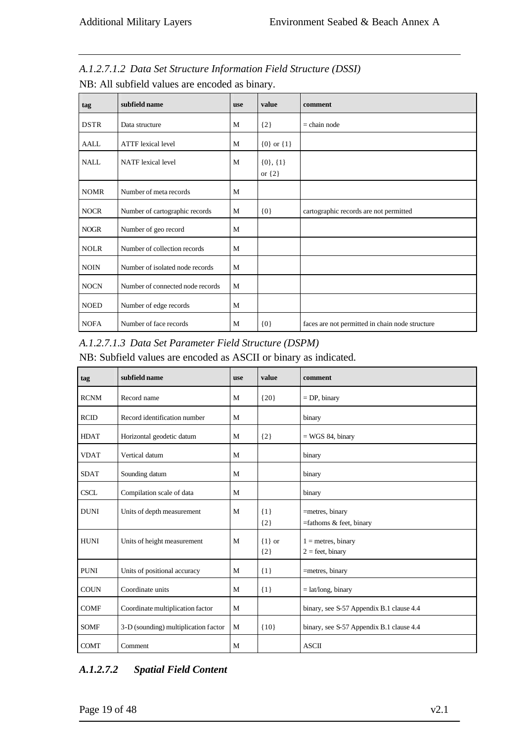| tag         | subfield name                    | <b>use</b> | value                       | comment                                         |
|-------------|----------------------------------|------------|-----------------------------|-------------------------------------------------|
| <b>DSTR</b> | Data structure                   | M          | ${2}$                       | $=$ chain node                                  |
| <b>AALL</b> | <b>ATTF</b> lexical level        | M          | ${0}$ or ${1}$              |                                                 |
| <b>NALL</b> | NATF lexical level               | M          | $\{0\},\{1\}$<br>or $\{2\}$ |                                                 |
| <b>NOMR</b> | Number of meta records           | M          |                             |                                                 |
| <b>NOCR</b> | Number of cartographic records   | M          | ${0}$                       | cartographic records are not permitted          |
| <b>NOGR</b> | Number of geo record             | M          |                             |                                                 |
| <b>NOLR</b> | Number of collection records     | M          |                             |                                                 |
| <b>NOIN</b> | Number of isolated node records  | M          |                             |                                                 |
| <b>NOCN</b> | Number of connected node records | M          |                             |                                                 |
| <b>NOED</b> | Number of edge records           | M          |                             |                                                 |
| <b>NOFA</b> | Number of face records           | M          | $\{0\}$                     | faces are not permitted in chain node structure |

*A.1.2.7.1.2 Data Set Structure Information Field Structure (DSSI)*

NB: All subfield values are encoded as binary.

|  | A.1.2.7.1.3 Data Set Parameter Field Structure (DSPM) |  |
|--|-------------------------------------------------------|--|
|  |                                                       |  |

NB: Subfield values are encoded as ASCII or binary as indicated.

| tag         | subfield name                        | use | value               | comment                                       |
|-------------|--------------------------------------|-----|---------------------|-----------------------------------------------|
| <b>RCNM</b> | Record name                          | M   | ${20}$              | $=$ DP, binary                                |
| <b>RCID</b> | Record identification number         | M   |                     | binary                                        |
| <b>HDAT</b> | Horizontal geodetic datum            | M   | $\{2\}$             | $=$ WGS 84, binary                            |
| <b>VDAT</b> | Vertical datum                       | M   |                     | binary                                        |
| <b>SDAT</b> | Sounding datum                       | M   |                     | binary                                        |
| <b>CSCL</b> | Compilation scale of data            | M   |                     | binary                                        |
| <b>DUNI</b> | Units of depth measurement           | M   | $\{1\}$<br>${2}$    | =metres, binary<br>$=$ fathoms & feet, binary |
| <b>HUNI</b> | Units of height measurement          | M   | $\{1\}$ or<br>${2}$ | $1 =$ metres, binary<br>$2 =$ feet, binary    |
| <b>PUNI</b> | Units of positional accuracy         | M   | $\{1\}$             | =metres, binary                               |
| <b>COUN</b> | Coordinate units                     | M   | $\{1\}$             | $=$ lat/long, binary                          |
| <b>COMF</b> | Coordinate multiplication factor     | M   |                     | binary, see S-57 Appendix B.1 clause 4.4      |
| <b>SOMF</b> | 3-D (sounding) multiplication factor | M   | ${10}$              | binary, see S-57 Appendix B.1 clause 4.4      |
| <b>COMT</b> | Comment                              | M   |                     | <b>ASCII</b>                                  |

# *A.1.2.7.2 Spatial Field Content*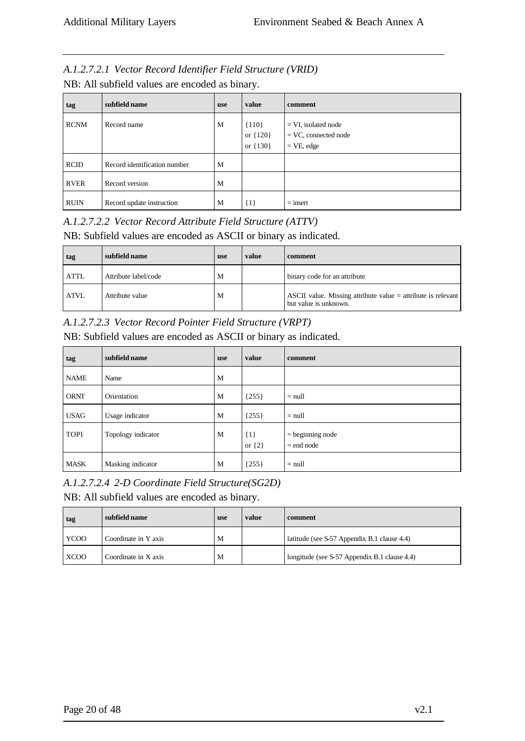| A.1.2.7.2.1 Vector Record Identifier Field Structure (VRID) |
|-------------------------------------------------------------|
| NB: All subfield values are encoded as binary.              |

| tag         | subfield name                | <b>use</b> | value                               | comment                                                          |
|-------------|------------------------------|------------|-------------------------------------|------------------------------------------------------------------|
| <b>RCNM</b> | Record name                  | M          | ${110}$<br>or ${120}$<br>or ${130}$ | $= VI$ , isolated node<br>$=$ VC, connected node<br>$=$ VE, edge |
| <b>RCID</b> | Record identification number | M          |                                     |                                                                  |
| <b>RVER</b> | Record version               | M          |                                     |                                                                  |
| <b>RUIN</b> | Record update instruction    | M          | $\{1\}$                             | $=$ insert                                                       |

*A.1.2.7.2.2 Vector Record Attribute Field Structure (ATTV)*

NB: Subfield values are encoded as ASCII or binary as indicated.

| tag         | subfield name        | <b>use</b> | value | comment                                                                                 |
|-------------|----------------------|------------|-------|-----------------------------------------------------------------------------------------|
| <b>ATTL</b> | Attribute label/code | M          |       | binary code for an attribute                                                            |
| <b>ATVL</b> | Attribute value      | M          |       | ASCII value. Missing attribute value $=$ attribute is relevant<br>but value is unknown. |

#### *A.1.2.7.2.3 Vector Record Pointer Field Structure (VRPT)*

NB: Subfield values are encoded as ASCII or binary as indicated.

| tag         | subfield name      | <b>use</b> | value                 | comment                            |
|-------------|--------------------|------------|-----------------------|------------------------------------|
| <b>NAME</b> | Name               | M          |                       |                                    |
| <b>ORNT</b> | Orientation        | M          | ${255}$               | $=$ null                           |
| <b>USAG</b> | Usage indicator    | M          | ${255}$               | $=$ null                           |
| <b>TOPI</b> | Topology indicator | M          | $\{1\}$<br>or $\{2\}$ | $=$ beginning node<br>$=$ end node |
| <b>MASK</b> | Masking indicator  | M          | ${255}$               | $=$ null                           |

*A.1.2.7.2.4 2-D Coordinate Field Structure(SG2D)*

NB: All subfield values are encoded as binary.

| tag         | subfield name        | use | value | comment                                      |
|-------------|----------------------|-----|-------|----------------------------------------------|
| YCOO        | Coordinate in Y axis | M   |       | latitude (see S-57 Appendix B.1 clause 4.4)  |
| <b>XCOO</b> | Coordinate in X axis | M   |       | longitude (see S-57 Appendix B.1 clause 4.4) |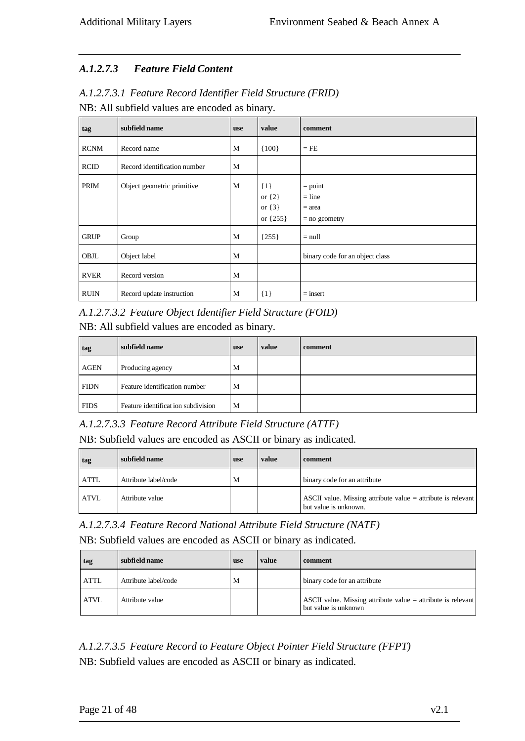### *A.1.2.7.3 Feature Field Content*

| tag         | subfield name                | use | value                                           | comment                                              |
|-------------|------------------------------|-----|-------------------------------------------------|------------------------------------------------------|
| <b>RCNM</b> | Record name                  | M   | ${100}$                                         | $=$ FE                                               |
| <b>RCID</b> | Record identification number | M   |                                                 |                                                      |
| PRIM        | Object geometric primitive   | M   | ${1}$<br>or $\{2\}$<br>or $\{3\}$<br>or ${255}$ | $=$ point<br>$=$ line<br>$=$ area<br>$=$ no geometry |
| <b>GRUP</b> | Group                        | M   | ${255}$                                         | $=$ null                                             |
| OBJL        | Object label                 | M   |                                                 | binary code for an object class                      |
| <b>RVER</b> | Record version               | M   |                                                 |                                                      |
| <b>RUIN</b> | Record update instruction    | M   | $\{1\}$                                         | $=$ insert                                           |

*A.1.2.7.3.1 Feature Record Identifier Field Structure (FRID)* NB: All subfield values are encoded as binary.

*A.1.2.7.3.2 Feature Object Identifier Field Structure (FOID)*

NB: All subfield values are encoded as binary.

| tag         | subfield name                       | <b>use</b> | value | comment |
|-------------|-------------------------------------|------------|-------|---------|
| <b>AGEN</b> | Producing agency                    | M          |       |         |
| <b>FIDN</b> | Feature identification number       | M          |       |         |
| <b>FIDS</b> | Feature identificat ion subdivision | M          |       |         |

*A.1.2.7.3.3 Feature Record Attribute Field Structure (ATTF)*

| NB: Subfield values are encoded as ASCII or binary as indicated. |  |
|------------------------------------------------------------------|--|
|------------------------------------------------------------------|--|

| tag         | subfield name        | use | value | comment                                                                                 |
|-------------|----------------------|-----|-------|-----------------------------------------------------------------------------------------|
| <b>ATTL</b> | Attribute label/code | M   |       | binary code for an attribute                                                            |
| <b>ATVL</b> | Attribute value      |     |       | ASCII value. Missing attribute value $=$ attribute is relevant<br>but value is unknown. |

*A.1.2.7.3.4 Feature Record National Attribute Field Structure (NATF)* NB: Subfield values are encoded as ASCII or binary as indicated.

| tag         | subfield name        | use | value | comment                                                                                |
|-------------|----------------------|-----|-------|----------------------------------------------------------------------------------------|
| <b>ATTL</b> | Attribute label/code | M   |       | binary code for an attribute                                                           |
| <b>ATVL</b> | Attribute value      |     |       | ASCII value. Missing attribute value $=$ attribute is relevant<br>but value is unknown |

*A.1.2.7.3.5 Feature Record to Feature Object Pointer Field Structure (FFPT)* NB: Subfield values are encoded as ASCII or binary as indicated.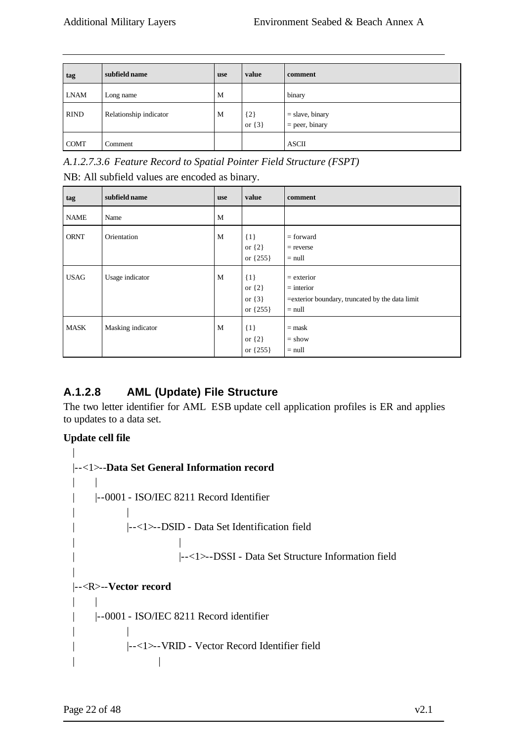| tag         | subfield name          | use | value               | comment                               |
|-------------|------------------------|-----|---------------------|---------------------------------------|
| <b>LNAM</b> | Long name              | M   |                     | binary                                |
| <b>RIND</b> | Relationship indicator | M   | ${2}$<br>or $\{3\}$ | $=$ slave, binary<br>$=$ peer, binary |
| <b>COMT</b> | Comment                |     |                     | <b>ASCII</b>                          |

*A.1.2.7.3.6 Feature Record to Spatial Pointer Field Structure (FSPT)*

NB: All subfield values are encoded as binary.

| tag         | subfield name     | <b>use</b> | value                                             | comment                                                                                      |
|-------------|-------------------|------------|---------------------------------------------------|----------------------------------------------------------------------------------------------|
| <b>NAME</b> | Name              | M          |                                                   |                                                                                              |
| <b>ORNT</b> | Orientation       | M          | ${1}$<br>or $\{2\}$<br>or ${255}$                 | $=$ forward<br>$=$ reverse<br>$=$ null                                                       |
| <b>USAG</b> | Usage indicator   | M          | $\{1\}$<br>or $\{2\}$<br>or $\{3\}$<br>or ${255}$ | $=$ exterior<br>$=$ interior<br>= exterior boundary, truncated by the data limit<br>$=$ null |
| <b>MASK</b> | Masking indicator | M          | $\{1\}$<br>or $\{2\}$<br>or $\{255\}$             | $=$ mask<br>$=$ show<br>$=$ null                                                             |

# **A.1.2.8 AML (Update) File Structure**

The two letter identifier for AML ESB update cell application profiles is ER and applies to updates to a data set.

### **Update cell file**

```
|
|--<1>--Data Set General Information record
    | |
    | |--0001 - ISO/IEC 8211 Record Identifier
| |
           | |--<1>--DSID - Data Set Identification field
| |
                     | |--<1>--DSSI - Data Set Structure Information field
|
|--<R>--Vector record
    \|| |--0001 - ISO/IEC 8211 Record identifier
| |
           | |--<1>--VRID - Vector Record Identifier field
| |
```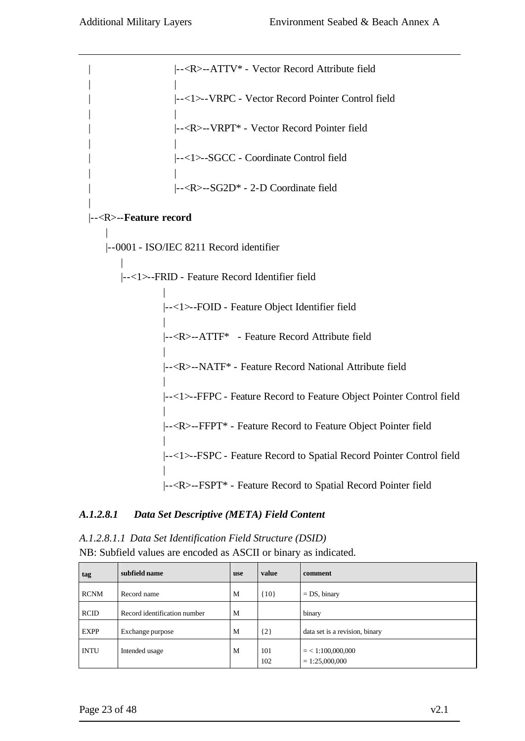```
| |--<R>--ATTV* - Vector Record Attribute field
| |
                  | |--<1>--VRPC - Vector Record Pointer Control field
| |
                  | |--<R>--VRPT* - Vector Record Pointer field
| |
                  | |--<1>--SGCC - Coordinate Control field
| |
                  | |--<R>--SG2D* - 2-D Coordinate field
|
|--<R>--Feature record
   |
   |--0001 - ISO/IEC 8211 Record identifier
       |
      |--<1>--FRID - Feature Record Identifier field
                |
                |--<1>--FOID - Feature Object Identifier field
                |
                |--<R>--ATTF* - Feature Record Attribute field
                |
                |--<R>--NATF* - Feature Record National Attribute field
                |
                |--<1>--FFPC - Feature Record to Feature Object Pointer Control field
                |
                |--<R>--FFPT* - Feature Record to Feature Object Pointer field
                |
                |--<1>--FSPC - Feature Record to Spatial Record Pointer Control field
                |
                |--<R>--FSPT* - Feature Record to Spatial Record Pointer field
```
### *A.1.2.8.1 Data Set Descriptive (META) Field Content*

|  |  | A.1.2.8.1.1 Data Set Identification Field Structure (DSID) |
|--|--|------------------------------------------------------------|
|--|--|------------------------------------------------------------|

| NB: Subfield values are encoded as ASCII or binary as indicated. |  |  |  |  |  |  |  |  |  |
|------------------------------------------------------------------|--|--|--|--|--|--|--|--|--|
|------------------------------------------------------------------|--|--|--|--|--|--|--|--|--|

| tag         | subfield name                | <b>use</b> | value      | comment                                 |
|-------------|------------------------------|------------|------------|-----------------------------------------|
| <b>RCNM</b> | Record name                  | M          | 10         | $= DS$ , binary                         |
| <b>RCID</b> | Record identification number | M          |            | binary                                  |
| <b>EXPP</b> | Exchange purpose             | M          | ${2}$      | data set is a revision, binary          |
| <b>INTU</b> | Intended usage               | M          | 101<br>102 | $=$ < 1:100,000,000<br>$= 1:25,000,000$ |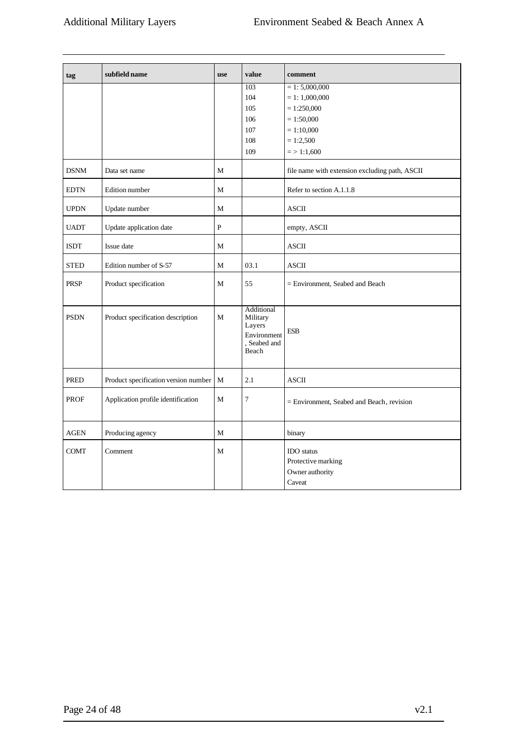| tag         | subfield name                            | use          | value                                                                    | comment                                                              |
|-------------|------------------------------------------|--------------|--------------------------------------------------------------------------|----------------------------------------------------------------------|
|             |                                          |              | 103                                                                      | $= 1: 5,000,000$                                                     |
|             |                                          |              | 104                                                                      | $= 1: 1,000,000$                                                     |
|             |                                          |              | 105                                                                      | $= 1:250,000$                                                        |
|             |                                          |              | 106                                                                      | $= 1:50,000$                                                         |
|             |                                          |              | 107                                                                      | $= 1:10,000$                                                         |
|             |                                          |              | 108                                                                      | $= 1:2,500$                                                          |
|             |                                          |              | 109                                                                      | $=$ > 1:1,600                                                        |
| <b>DSNM</b> | Data set name                            | M            |                                                                          | file name with extension excluding path, ASCII                       |
| <b>EDTN</b> | <b>Edition</b> number                    | M            |                                                                          | Refer to section A.1.1.8                                             |
| <b>UPDN</b> | Update number                            | ${\bf M}$    |                                                                          | <b>ASCII</b>                                                         |
| <b>UADT</b> | Update application date                  | $\mathbf{P}$ |                                                                          | empty, ASCII                                                         |
| <b>ISDT</b> | Issue date                               | M            |                                                                          | <b>ASCII</b>                                                         |
| <b>STED</b> | Edition number of S-57                   | M            | 03.1                                                                     | <b>ASCII</b>                                                         |
| <b>PRSP</b> | Product specification                    | ${\bf M}$    | 55                                                                       | = Environment, Seabed and Beach                                      |
| <b>PSDN</b> | Product specification description        | M            | Additional<br>Military<br>Layers<br>Environment<br>. Seabed and<br>Beach | <b>ESB</b>                                                           |
| <b>PRED</b> | Product specification version number   M |              | 2.1                                                                      | <b>ASCII</b>                                                         |
| <b>PROF</b> | Application profile identification       | M            | 7                                                                        | = Environment, Seabed and Beach, revision                            |
| <b>AGEN</b> | Producing agency                         | M            |                                                                          | binary                                                               |
| <b>COMT</b> | Comment                                  | M            |                                                                          | <b>IDO</b> status<br>Protective marking<br>Owner authority<br>Caveat |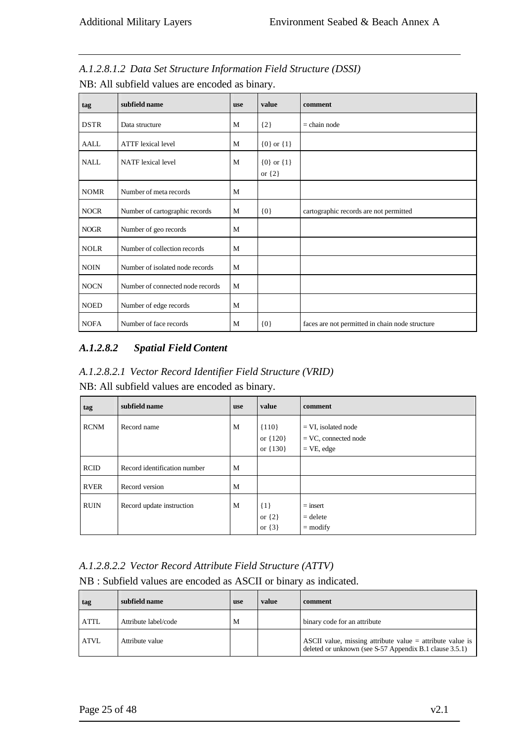|             | $\ldots$ and $\ldots$ and $\ldots$ . Where $\ldots$ we are denoted the contract $\ldots$ |     |                              |                                                 |  |  |
|-------------|------------------------------------------------------------------------------------------|-----|------------------------------|-------------------------------------------------|--|--|
| tag         | subfield name                                                                            | use | value                        | comment                                         |  |  |
| <b>DSTR</b> | Data structure                                                                           | M   | ${2}$                        | $=$ chain node                                  |  |  |
| AALL        | <b>ATTF</b> lexical level                                                                | M   | ${0}$ or ${1}$               |                                                 |  |  |
| <b>NALL</b> | <b>NATF</b> lexical level                                                                | M   | ${0}$ or ${1}$<br>or $\{2\}$ |                                                 |  |  |
| <b>NOMR</b> | Number of meta records                                                                   | M   |                              |                                                 |  |  |
| <b>NOCR</b> | Number of cartographic records                                                           | M   | ${0}$                        | cartographic records are not permitted          |  |  |
| <b>NOGR</b> | Number of geo records                                                                    | M   |                              |                                                 |  |  |
| <b>NOLR</b> | Number of collection records                                                             | M   |                              |                                                 |  |  |
| <b>NOIN</b> | Number of isolated node records                                                          | M   |                              |                                                 |  |  |
| <b>NOCN</b> | Number of connected node records                                                         | M   |                              |                                                 |  |  |
| <b>NOED</b> | Number of edge records                                                                   | M   |                              |                                                 |  |  |
| <b>NOFA</b> | Number of face records                                                                   | M   | ${0}$                        | faces are not permitted in chain node structure |  |  |

*A.1.2.8.1.2 Data Set Structure Information Field Structure (DSSI)*

NB: All subfield values are encoded as binary.

### *A.1.2.8.2 Spatial Field Content*

#### *A.1.2.8.2.1 Vector Record Identifier Field Structure (VRID)*

NB: All subfield values are encoded as binary.

| tag         | subfield name                | <b>use</b> | value                               | comment                                                          |
|-------------|------------------------------|------------|-------------------------------------|------------------------------------------------------------------|
| <b>RCNM</b> | Record name                  | M          | ${110}$<br>or ${120}$<br>or ${130}$ | $= VI$ , isolated node<br>$=$ VC, connected node<br>$=$ VE, edge |
| <b>RCID</b> | Record identification number | M          |                                     |                                                                  |
| <b>RVER</b> | Record version               | M          |                                     |                                                                  |
| <b>RUIN</b> | Record update instruction    | M          | $\{1\}$<br>or $\{2\}$<br>or $\{3\}$ | $=$ insert<br>$=$ delete<br>$=$ modify                           |

### *A.1.2.8.2.2 Vector Record Attribute Field Structure (ATTV)*

NB : Subfield values are encoded as ASCII or binary as indicated.

| tag         | subfield name        | use | value | comment                                                                                                                |
|-------------|----------------------|-----|-------|------------------------------------------------------------------------------------------------------------------------|
| <b>ATTL</b> | Attribute label/code | M   |       | binary code for an attribute                                                                                           |
| <b>ATVL</b> | Attribute value      |     |       | ASCII value, missing attribute value $=$ attribute value is<br>deleted or unknown (see S-57 Appendix B.1 clause 3.5.1) |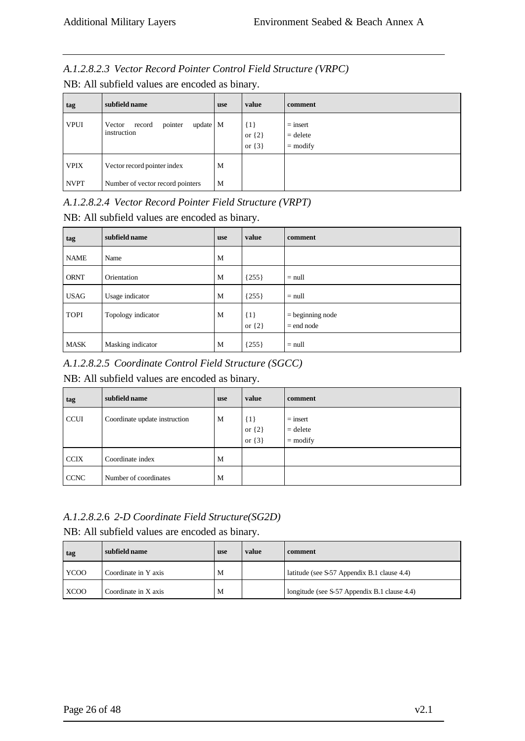## *A.1.2.8.2.3 Vector Record Pointer Control Field Structure (VRPC)*

NB: All subfield values are encoded as binary.

| tag         | subfield name                                          | <b>use</b> | value                             | comment                                |
|-------------|--------------------------------------------------------|------------|-----------------------------------|----------------------------------------|
| <b>VPUI</b> | pointer<br>update M<br>Vector<br>record<br>instruction |            | ${1}$<br>or $\{2\}$<br>or $\{3\}$ | $=$ insert<br>$=$ delete<br>$=$ modify |
| <b>VPIX</b> | Vector record pointer index                            | М          |                                   |                                        |
| <b>NVPT</b> | Number of vector record pointers                       | M          |                                   |                                        |

*A.1.2.8.2.4 Vector Record Pointer Field Structure (VRPT)*

NB: All subfield values are encoded as binary.

| tag         | subfield name      | use | value                 | comment                            |
|-------------|--------------------|-----|-----------------------|------------------------------------|
| <b>NAME</b> | Name               | M   |                       |                                    |
| <b>ORNT</b> | Orientation        | M   | ${255}$               | $=$ null                           |
| <b>USAG</b> | Usage indicator    | M   | ${255}$               | $=$ null                           |
| <b>TOPI</b> | Topology indicator | M   | $\{1\}$<br>or $\{2\}$ | $=$ beginning node<br>$=$ end node |
| <b>MASK</b> | Masking indicator  | M   | ${255}$               | $=$ null                           |

*A.1.2.8.2.5 Coordinate Control Field Structure (SGCC)*

#### NB: All subfield values are encoded as binary.

| tag         | subfield name                 | <b>use</b> | value                             | comment                                |
|-------------|-------------------------------|------------|-----------------------------------|----------------------------------------|
| <b>CCUI</b> | Coordinate update instruction | M          | ${1}$<br>or $\{2\}$<br>or $\{3\}$ | $=$ insert<br>$=$ delete<br>$=$ modify |
| <b>CCIX</b> | Coordinate index              | M          |                                   |                                        |
| <b>CCNC</b> | Number of coordinates         | M          |                                   |                                        |

### *A.1.2.8.2.*6 *2-D Coordinate Field Structure(SG2D)*

NB: All subfield values are encoded as binary.

| tag         | subfield name        | use | value | comment                                      |
|-------------|----------------------|-----|-------|----------------------------------------------|
| <b>YCOO</b> | Coordinate in Y axis | M   |       | latitude (see S-57 Appendix B.1 clause 4.4)  |
| <b>XCOO</b> | Coordinate in X axis | M   |       | longitude (see S-57 Appendix B.1 clause 4.4) |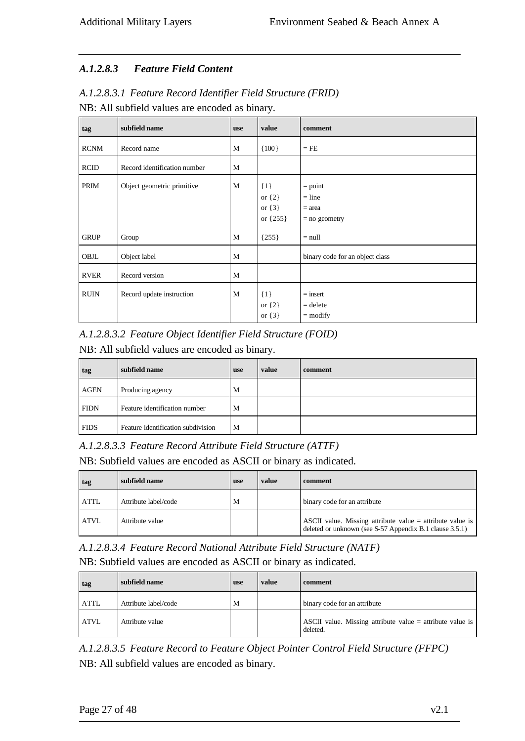### *A.1.2.8.3 Feature Field Content*

| tag         | subfield name                | use          | value                                             | comment                                              |
|-------------|------------------------------|--------------|---------------------------------------------------|------------------------------------------------------|
| <b>RCNM</b> | Record name                  | M            | ${100}$                                           | $=$ FE                                               |
| <b>RCID</b> | Record identification number | M            |                                                   |                                                      |
| PRIM        | Object geometric primitive   | M            | $\{1\}$<br>or $\{2\}$<br>or $\{3\}$<br>or ${255}$ | $=$ point<br>$=$ line<br>$=$ area<br>$=$ no geometry |
| <b>GRUP</b> | Group                        | M            | ${255}$                                           | $=$ null                                             |
| OBJL        | Object label                 | M            |                                                   | binary code for an object class                      |
| <b>RVER</b> | Record version               | M            |                                                   |                                                      |
| <b>RUIN</b> | Record update instruction    | $\mathbf{M}$ | $\{1\}$<br>or $\{2\}$<br>or $\{3\}$               | $=$ insert<br>$=$ delete<br>$=$ modify               |

*A.1.2.8.3.1 Feature Record Identifier Field Structure (FRID)* NB: All subfield values are encoded as binary.

*A.1.2.8.3.2 Feature Object Identifier Field Structure (FOID)*

NB: All subfield values are encoded as binary.

| tag         | subfield name                      | use | value | comment |
|-------------|------------------------------------|-----|-------|---------|
| <b>AGEN</b> | Producing agency                   | M   |       |         |
| <b>FIDN</b> | Feature identification number      | M   |       |         |
| <b>FIDS</b> | Feature identification subdivision | M   |       |         |

*A.1.2.8.3.3 Feature Record Attribute Field Structure (ATTF)*

NB: Subfield values are encoded as ASCII or binary as indicated.

| tag         | subfield name        | use | value | comment                                                                                                                |
|-------------|----------------------|-----|-------|------------------------------------------------------------------------------------------------------------------------|
| <b>ATTL</b> | Attribute label/code | M   |       | binary code for an attribute                                                                                           |
| <b>ATVL</b> | Attribute value      |     |       | ASCII value. Missing attribute value $=$ attribute value is<br>deleted or unknown (see S-57 Appendix B.1 clause 3.5.1) |

*A.1.2.8.3.4 Feature Record National Attribute Field Structure (NATF)*

NB: Subfield values are encoded as ASCII or binary as indicated.

| tag         | subfield name        | <b>use</b> | value | comment                                                                 |
|-------------|----------------------|------------|-------|-------------------------------------------------------------------------|
| <b>ATTL</b> | Attribute label/code | М          |       | binary code for an attribute                                            |
| <b>ATVL</b> | Attribute value      |            |       | ASCII value. Missing attribute value $=$ attribute value is<br>deleted. |

*A.1.2.8.3.5 Feature Record to Feature Object Pointer Control Field Structure (FFPC)* NB: All subfield values are encoded as binary.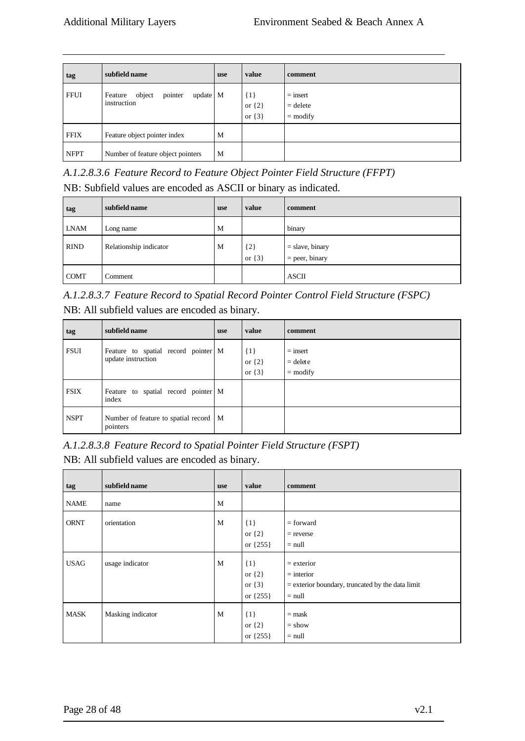| tag         | subfield name                                           | use | value                               | comment                                |
|-------------|---------------------------------------------------------|-----|-------------------------------------|----------------------------------------|
| <b>FFUI</b> | update M<br>object<br>pointer<br>Feature<br>instruction |     | $\{1\}$<br>or $\{2\}$<br>or $\{3\}$ | $=$ insert<br>$=$ delete<br>$=$ modify |
| <b>FFIX</b> | Feature object pointer index                            | M   |                                     |                                        |
| <b>NFPT</b> | Number of feature object pointers                       | M   |                                     |                                        |

*A.1.2.8.3.6 Feature Record to Feature Object Pointer Field Structure (FFPT)* NB: Subfield values are encoded as ASCII or binary as indicated.

| tag         | subfield name          | <b>use</b> | value               | comment                               |
|-------------|------------------------|------------|---------------------|---------------------------------------|
| <b>LNAM</b> | Long name              | M          |                     | binary                                |
| <b>RIND</b> | Relationship indicator | M          | ${2}$<br>or $\{3\}$ | $=$ slave, binary<br>$=$ peer, binary |
| <b>COMT</b> | Comment                |            |                     | <b>ASCII</b>                          |

*A.1.2.8.3.7 Feature Record to Spatial Record Pointer Control Field Structure (FSPC)* NB: All subfield values are encoded as binary.

| tag         | subfield name                                             | <b>use</b> | value                               | comment                                |
|-------------|-----------------------------------------------------------|------------|-------------------------------------|----------------------------------------|
| <b>FSUI</b> | Feature to spatial record pointer M<br>update instruction |            | $\{1\}$<br>or $\{2\}$<br>or $\{3\}$ | $=$ insert<br>$=$ delete<br>$=$ modify |
| <b>FSIX</b> | Feature to spatial record pointer M<br>index              |            |                                     |                                        |
| <b>NSPT</b> | Number of feature to spatial record M<br>pointers         |            |                                     |                                        |

*A.1.2.8.3.8 Feature Record to Spatial Pointer Field Structure (FSPT)*

NB: All subfield values are encoded as binary.

| tag         | subfield name     | <b>use</b> | value                                             | comment                                                                                        |
|-------------|-------------------|------------|---------------------------------------------------|------------------------------------------------------------------------------------------------|
| <b>NAME</b> | name              | M          |                                                   |                                                                                                |
| <b>ORNT</b> | orientation       | M          | $\{1\}$<br>or $\{2\}$<br>or ${255}$               | $=$ forward<br>$=$ reverse<br>$=$ null                                                         |
| <b>USAG</b> | usage indicator   | M          | $\{1\}$<br>or $\{2\}$<br>or $\{3\}$<br>or ${255}$ | $=$ exterior<br>$=$ interior<br>$=$ exterior boundary, truncated by the data limit<br>$=$ null |
| <b>MASK</b> | Masking indicator | M          | $\{1\}$<br>or $\{2\}$<br>or ${255}$               | $=$ mask<br>$=$ show<br>$=$ null                                                               |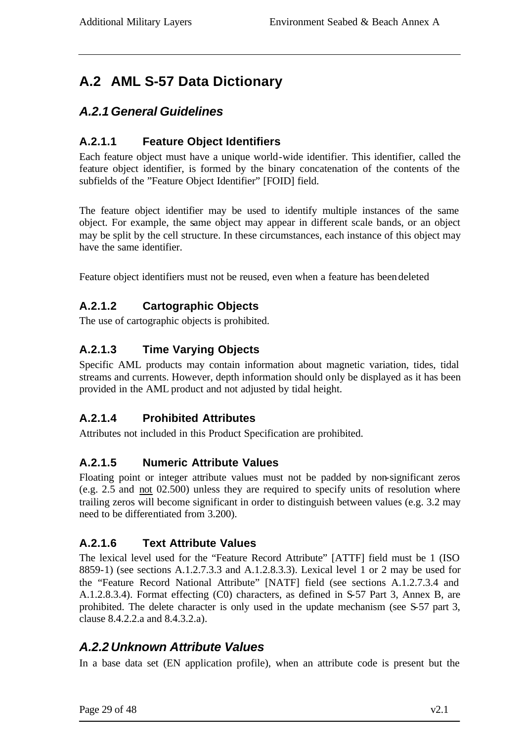# **A.2 AML S-57 Data Dictionary**

# *A.2.1General Guidelines*

### **A.2.1.1 Feature Object Identifiers**

Each feature object must have a unique world-wide identifier. This identifier, called the feature object identifier, is formed by the binary concatenation of the contents of the subfields of the "Feature Object Identifier" [FOID] field.

The feature object identifier may be used to identify multiple instances of the same object. For example, the same object may appear in different scale bands, or an object may be split by the cell structure. In these circumstances, each instance of this object may have the same identifier.

Feature object identifiers must not be reused, even when a feature has been deleted

### **A.2.1.2 Cartographic Objects**

The use of cartographic objects is prohibited.

### **A.2.1.3 Time Varying Objects**

Specific AML products may contain information about magnetic variation, tides, tidal streams and currents. However, depth information should only be displayed as it has been provided in the AML product and not adjusted by tidal height.

### **A.2.1.4 Prohibited Attributes**

Attributes not included in this Product Specification are prohibited.

### **A.2.1.5 Numeric Attribute Values**

Floating point or integer attribute values must not be padded by non-significant zeros (e.g. 2.5 and not 02.500) unless they are required to specify units of resolution where trailing zeros will become significant in order to distinguish between values (e.g. 3.2 may need to be differentiated from 3.200).

### **A.2.1.6 Text Attribute Values**

The lexical level used for the "Feature Record Attribute" [ATTF] field must be 1 (ISO 8859-1) (see sections A.1.2.7.3.3 and A.1.2.8.3.3). Lexical level 1 or 2 may be used for the "Feature Record National Attribute" [NATF] field (see sections A.1.2.7.3.4 and A.1.2.8.3.4). Format effecting (C0) characters, as defined in S-57 Part 3, Annex B, are prohibited. The delete character is only used in the update mechanism (see S-57 part 3, clause 8.4.2.2.a and 8.4.3.2.a).

# *A.2.2 Unknown Attribute Values*

In a base data set (EN application profile), when an attribute code is present but the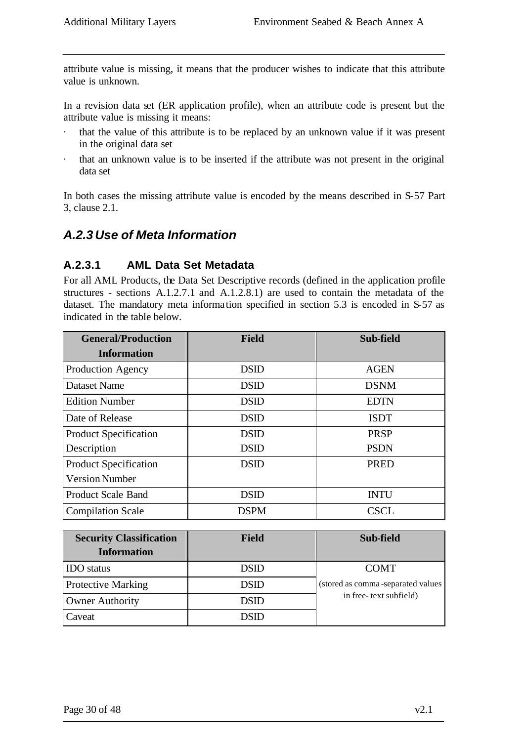attribute value is missing, it means that the producer wishes to indicate that this attribute value is unknown.

In a revision data set (ER application profile), when an attribute code is present but the attribute value is missing it means:

- · that the value of this attribute is to be replaced by an unknown value if it was present in the original data set
- · that an unknown value is to be inserted if the attribute was not present in the original data set

In both cases the missing attribute value is encoded by the means described in S-57 Part 3, clause 2.1.

### *A.2.3 Use of Meta Information*

#### **A.2.3.1 AML Data Set Metadata**

For all AML Products, the Data Set Descriptive records (defined in the application profile structures - sections A.1.2.7.1 and A.1.2.8.1) are used to contain the metadata of the dataset. The mandatory meta information specified in section 5.3 is encoded in S-57 as indicated in the table below.

| <b>General/Production</b>    | <b>Field</b> | Sub-field   |  |
|------------------------------|--------------|-------------|--|
| <b>Information</b>           |              |             |  |
| <b>Production Agency</b>     | <b>DSID</b>  | <b>AGEN</b> |  |
| Dataset Name                 | <b>DSID</b>  | <b>DSNM</b> |  |
| <b>Edition Number</b>        | <b>DSID</b>  | <b>EDTN</b> |  |
| Date of Release              | <b>DSID</b>  | <b>ISDT</b> |  |
| <b>Product Specification</b> | <b>DSID</b>  | <b>PRSP</b> |  |
| Description                  | <b>DSID</b>  | <b>PSDN</b> |  |
| <b>Product Specification</b> | <b>DSID</b>  | <b>PRED</b> |  |
| <b>Version Number</b>        |              |             |  |
| <b>Product Scale Band</b>    | <b>DSID</b>  | <b>INTU</b> |  |
| <b>Compilation Scale</b>     | <b>DSPM</b>  | <b>CSCL</b> |  |

| <b>Security Classification</b> | <b>Field</b> | Sub-field                          |
|--------------------------------|--------------|------------------------------------|
| <b>Information</b>             |              |                                    |
| <b>IDO</b> status              | <b>DSID</b>  | <b>COMT</b>                        |
| <b>Protective Marking</b>      | <b>DSID</b>  | (stored as comma-separated values) |
| Owner Authority                | <b>DSID</b>  | in free-text subfield)             |
| Caveat                         | DSID         |                                    |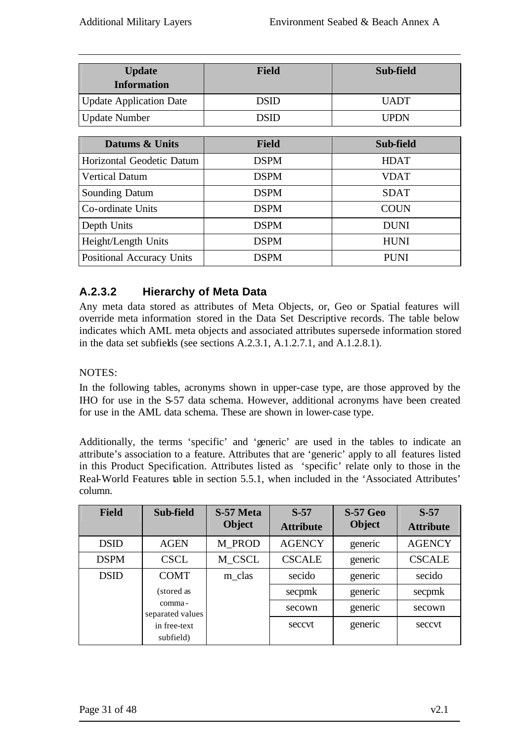| <b>Update</b><br><b>Information</b> | <b>Field</b> | Sub-field   |
|-------------------------------------|--------------|-------------|
| <b>Update Application Date</b>      | <b>DSID</b>  | <b>UADT</b> |
| <b>Update Number</b>                | <b>DSID</b>  | <b>UPDN</b> |
|                                     |              |             |
| Datums & Units                      | <b>Field</b> | Sub-field   |
| Horizontal Geodetic Datum           | <b>DSPM</b>  | <b>HDAT</b> |
| <b>Vertical Datum</b>               | <b>DSPM</b>  | <b>VDAT</b> |
| <b>Sounding Datum</b>               | <b>DSPM</b>  | <b>SDAT</b> |
| Co-ordinate Units                   | <b>DSPM</b>  | <b>COUN</b> |
| Depth Units                         | <b>DSPM</b>  | <b>DUNI</b> |
| Height/Length Units                 | <b>DSPM</b>  | <b>HUNI</b> |
| Positional Accuracy Units           | <b>DSPM</b>  | PUNI        |

## **A.2.3.2 Hierarchy of Meta Data**

Any meta data stored as attributes of Meta Objects, or, Geo or Spatial features will override meta information stored in the Data Set Descriptive records. The table below indicates which AML meta objects and associated attributes supersede information stored in the data set subfields (see sections A.2.3.1, A.1.2.7.1, and A.1.2.8.1).

### NOTES:

In the following tables, acronyms shown in upper-case type, are those approved by the IHO for use in the S-57 data schema. However, additional acronyms have been created for use in the AML data schema. These are shown in lower-case type.

Additionally, the terms 'specific' and 'generic' are used in the tables to indicate an attribute's association to a feature. Attributes that are 'generic' apply to all features listed in this Product Specification. Attributes listed as 'specific' relate only to those in the Real-World Features table in section 5.5.1, when included in the 'Associated Attributes' column.

| <b>Field</b> | Sub-field                  | S-57 Meta<br><b>Object</b> | $S-57$<br><b>Attribute</b> | <b>S-57 Geo</b><br><b>Object</b> | $S-57$<br><b>Attribute</b> |
|--------------|----------------------------|----------------------------|----------------------------|----------------------------------|----------------------------|
| <b>DSID</b>  | <b>AGEN</b>                | M PROD                     | <b>AGENCY</b>              | generic                          | <b>AGENCY</b>              |
| <b>DSPM</b>  | <b>CSCL</b>                | M CSCL                     | <b>CSCALE</b>              | generic                          | <b>CSCALE</b>              |
| <b>DSID</b>  | <b>COMT</b>                | m_clas                     | secido                     | generic                          | secido                     |
|              | (stored as                 |                            | secpmk                     | generic                          | secpmk                     |
|              | comma-<br>separated values |                            | secown                     | generic                          | secown                     |
|              | in free-text<br>subfield)  |                            | seccyt                     | generic                          | seccyt                     |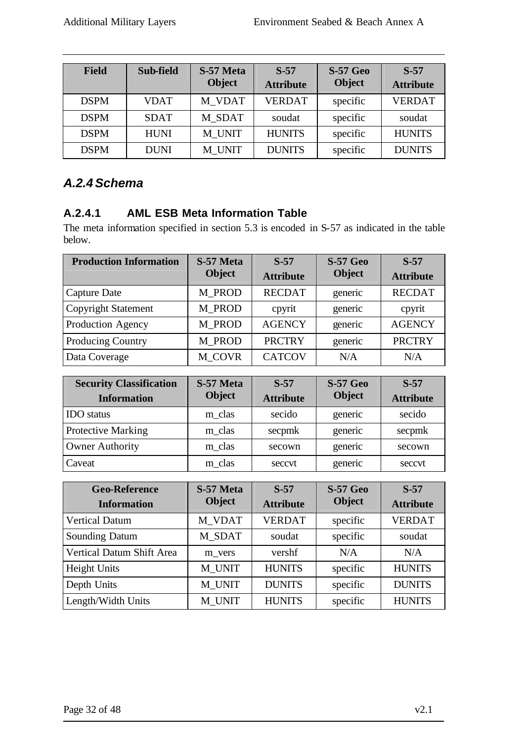| <b>Field</b> | Sub-field   | S-57 Meta<br><b>Object</b> | $S-57$<br><b>Attribute</b> | <b>S-57 Geo</b><br><b>Object</b> | $S-57$<br><b>Attribute</b> |
|--------------|-------------|----------------------------|----------------------------|----------------------------------|----------------------------|
| <b>DSPM</b>  | <b>VDAT</b> | M VDAT                     | <b>VERDAT</b>              | specific                         | <b>VERDAT</b>              |
| <b>DSPM</b>  | <b>SDAT</b> | M SDAT                     | soudat                     | specific                         | soudat                     |
| <b>DSPM</b>  | <b>HUNI</b> | M UNIT                     | <b>HUNITS</b>              | specific                         | <b>HUNITS</b>              |
| <b>DSPM</b>  | <b>DUNI</b> | M UNIT                     | <b>DUNITS</b>              | specific                         | <b>DUNITS</b>              |

# *A.2.4Schema*

### **A.2.4.1 AML ESB Meta Information Table**

The meta information specified in section 5.3 is encoded in S-57 as indicated in the table below.

| <b>Production Information</b> | S-57 Meta<br><b>Object</b> | $S-57$<br><b>Attribute</b> | <b>S-57 Geo</b><br><b>Object</b> | $S-57$<br><b>Attribute</b> |
|-------------------------------|----------------------------|----------------------------|----------------------------------|----------------------------|
| Capture Date                  | M_PROD                     | <b>RECDAT</b>              | generic                          | <b>RECDAT</b>              |
| <b>Copyright Statement</b>    | M PROD                     | cpyrit                     | generic                          | cpyrit                     |
| Production Agency             | M PROD                     | <b>AGENCY</b>              | generic                          | <b>AGENCY</b>              |
| <b>Producing Country</b>      | M PROD                     | <b>PRCTRY</b>              | generic                          | <b>PRCTRY</b>              |
| Data Coverage                 | M COVR                     | <b>CATCOV</b>              | N/A                              | N/A                        |

| <b>Security Classification</b><br><b>Information</b> | S-57 Meta<br><b>Object</b> | $S-57$<br><b>Attribute</b> | <b>S-57 Geo</b><br><b>Object</b> | $S-57$<br><b>Attribute</b> |
|------------------------------------------------------|----------------------------|----------------------------|----------------------------------|----------------------------|
| <b>IDO</b> status                                    | m_clas                     | secido                     | generic                          | secido                     |
| <b>Protective Marking</b>                            | m_clas                     | secpmk                     | generic                          | secpmk                     |
| <b>Owner Authority</b>                               | m_clas                     | secown                     | generic                          | secown                     |
| Caveat                                               | m_clas                     | seccvt                     | generic                          | seccvt                     |

| <b>Geo-Reference</b><br><b>Information</b> | S-57 Meta<br><b>Object</b> | $S-57$<br><b>Attribute</b> | <b>S-57 Geo</b><br><b>Object</b> | $S-57$<br><b>Attribute</b> |
|--------------------------------------------|----------------------------|----------------------------|----------------------------------|----------------------------|
| <b>Vertical Datum</b>                      | M VDAT                     | <b>VERDAT</b>              | specific                         | <b>VERDAT</b>              |
| <b>Sounding Datum</b>                      | M SDAT                     | soudat                     | specific                         | soudat                     |
| Vertical Datum Shift Area                  | m vers                     | vershf                     | N/A                              | N/A                        |
| <b>Height Units</b>                        | M UNIT                     | <b>HUNITS</b>              | specific                         | <b>HUNITS</b>              |
| Depth Units                                | M UNIT                     | <b>DUNITS</b>              | specific                         | <b>DUNITS</b>              |
| Length/Width Units                         | M UNIT                     | <b>HUNITS</b>              | specific                         | <b>HUNITS</b>              |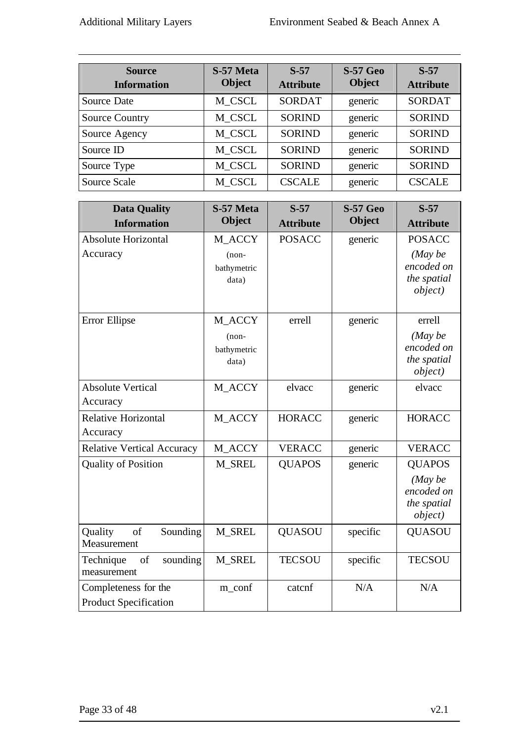| <b>Source</b><br><b>Information</b> | S-57 Meta<br><b>Object</b> | $S-57$<br><b>Attribute</b> | <b>S-57 Geo</b><br><b>Object</b> | $S-57$<br><b>Attribute</b> |
|-------------------------------------|----------------------------|----------------------------|----------------------------------|----------------------------|
| Source Date                         | M_CSCL                     | <b>SORDAT</b>              | generic                          | <b>SORDAT</b>              |
| <b>Source Country</b>               | M CSCL                     | <b>SORIND</b>              | generic                          | <b>SORIND</b>              |
| Source Agency                       | M CSCL                     | <b>SORIND</b>              | generic                          | <b>SORIND</b>              |
| Source ID                           | M CSCL                     | <b>SORIND</b>              | generic                          | <b>SORIND</b>              |
| Source Type                         | M_CSCL                     | <b>SORIND</b>              | generic                          | <b>SORIND</b>              |
| Source Scale                        | M CSCL                     | <b>CSCALE</b>              | generic                          | <b>CSCALE</b>              |

| <b>Data Quality</b><br><b>Information</b>            | S-57 Meta<br><b>Object</b>                | $S-57$<br><b>Attribute</b> | <b>S-57 Geo</b><br><b>Object</b> | $S-57$<br><b>Attribute</b>                                       |
|------------------------------------------------------|-------------------------------------------|----------------------------|----------------------------------|------------------------------------------------------------------|
| Absolute Horizontal                                  | M_ACCY                                    | <b>POSACC</b>              | generic                          | <b>POSACC</b>                                                    |
| Accuracy                                             | $(non-$<br>bathymetric<br>data)           |                            |                                  | (Maybe<br>encoded on<br>the spatial<br>object)                   |
| Error Ellipse                                        | M_ACCY<br>$(non-$<br>bathymetric<br>data) | errell                     | generic                          | errell<br>(Maybe<br>encoded on<br>the spatial<br>object)         |
| <b>Absolute Vertical</b>                             | M_ACCY                                    | elvacc                     | generic                          | elvacc                                                           |
| Accuracy                                             |                                           |                            |                                  |                                                                  |
| <b>Relative Horizontal</b><br>Accuracy               | M_ACCY                                    | <b>HORACC</b>              | generic                          | <b>HORACC</b>                                                    |
| <b>Relative Vertical Accuracy</b>                    | M_ACCY                                    | <b>VERACC</b>              | generic                          | <b>VERACC</b>                                                    |
| <b>Quality of Position</b>                           | <b>M_SREL</b>                             | <b>QUAPOS</b>              | generic                          | <b>QUAPOS</b><br>(Maybe)<br>encoded on<br>the spatial<br>object) |
| Sounding<br>Quality<br>of<br>Measurement             | M_SREL                                    | <b>QUASOU</b>              | specific                         | QUASOU                                                           |
| of<br>sounding<br>Technique<br>measurement           | M_SREL                                    | <b>TECSOU</b>              | specific                         | <b>TECSOU</b>                                                    |
| Completeness for the<br><b>Product Specification</b> | m_conf                                    | catcnf                     | N/A                              | N/A                                                              |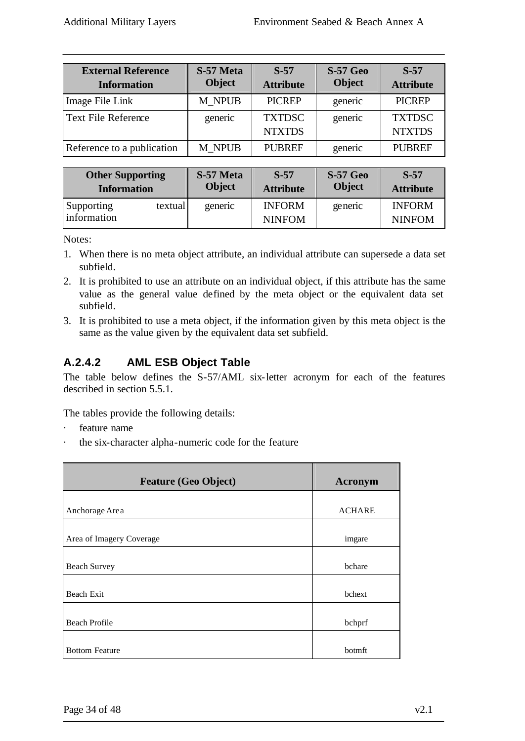| <b>External Reference</b><br><b>Information</b> | S-57 Meta<br><b>Object</b> | $S-57$<br><b>Attribute</b>     | <b>S-57 Geo</b><br><b>Object</b> | $S-57$<br><b>Attribute</b>     |
|-------------------------------------------------|----------------------------|--------------------------------|----------------------------------|--------------------------------|
| Image File Link                                 | <b>M_NPUB</b>              | <b>PICREP</b>                  | generic                          | <b>PICREP</b>                  |
| Text File Reference                             | generic                    | <b>TXTDSC</b><br><b>NTXTDS</b> | generic                          | <b>TXTDSC</b><br><b>NTXTDS</b> |
| Reference to a publication                      | M NPUB                     | <b>PUBREF</b>                  | generic                          | <b>PUBREF</b>                  |

| <b>Other Supporting</b>              | S-57 Meta     | $S-57$                         | <b>S-57 Geo</b> | $S-57$                         |
|--------------------------------------|---------------|--------------------------------|-----------------|--------------------------------|
| <b>Information</b>                   | <b>Object</b> | <b>Attribute</b>               | <b>Object</b>   | <b>Attribute</b>               |
| Supporting<br>textual<br>information | generic       | <b>INFORM</b><br><b>NINFOM</b> | generic         | <b>INFORM</b><br><b>NINFOM</b> |

Notes:

- 1. When there is no meta object attribute, an individual attribute can supersede a data set subfield.
- 2. It is prohibited to use an attribute on an individual object, if this attribute has the same value as the general value defined by the meta object or the equivalent data set subfield.
- 3. It is prohibited to use a meta object, if the information given by this meta object is the same as the value given by the equivalent data set subfield.

# **A.2.4.2 AML ESB Object Table**

The table below defines the S-57/AML six-letter acronym for each of the features described in section 5.5.1.

The tables provide the following details:

- · feature name
- the six-character alpha-numeric code for the feature

| <b>Feature (Geo Object)</b> | <b>Acronym</b> |
|-----------------------------|----------------|
| Anchorage Area              | <b>ACHARE</b>  |
| Area of Imagery Coverage    | imgare         |
| <b>Beach Survey</b>         | bchare         |
| Beach Exit                  | bchext         |
| <b>Beach Profile</b>        | bchprf         |
| <b>Bottom Feature</b>       | botmft         |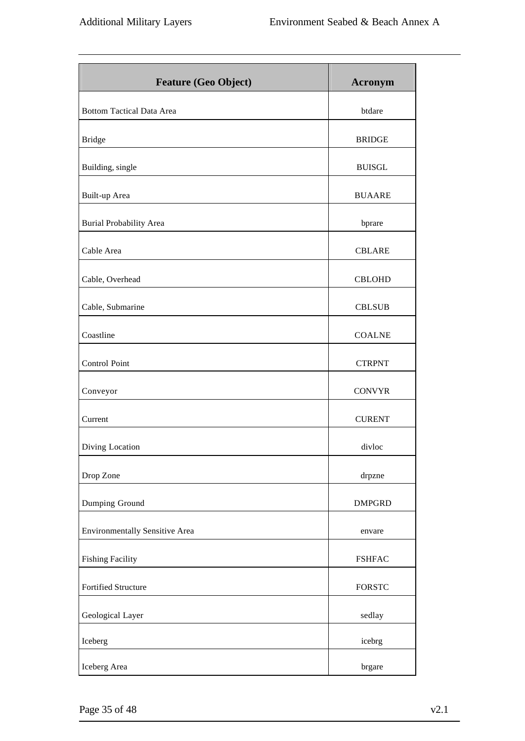| <b>Feature (Geo Object)</b>           | <b>Acronym</b> |
|---------------------------------------|----------------|
| <b>Bottom Tactical Data Area</b>      | btdare         |
| <b>Bridge</b>                         | <b>BRIDGE</b>  |
| Building, single                      | <b>BUISGL</b>  |
| Built-up Area                         | <b>BUAARE</b>  |
| <b>Burial Probability Area</b>        | bprare         |
| Cable Area                            | <b>CBLARE</b>  |
| Cable, Overhead                       | <b>CBLOHD</b>  |
| Cable, Submarine                      | <b>CBLSUB</b>  |
| Coastline                             | <b>COALNE</b>  |
| Control Point                         | <b>CTRPNT</b>  |
| Conveyor                              | <b>CONVYR</b>  |
| Current                               | <b>CURENT</b>  |
| Diving Location                       | divloc         |
| Drop Zone                             | drpzne         |
| Dumping Ground                        | <b>DMPGRD</b>  |
| <b>Environmentally Sensitive Area</b> | envare         |
| <b>Fishing Facility</b>               | <b>FSHFAC</b>  |
| Fortified Structure                   | <b>FORSTC</b>  |
| Geological Layer                      | sedlay         |
| Iceberg                               | icebrg         |
| Iceberg Area                          | brgare         |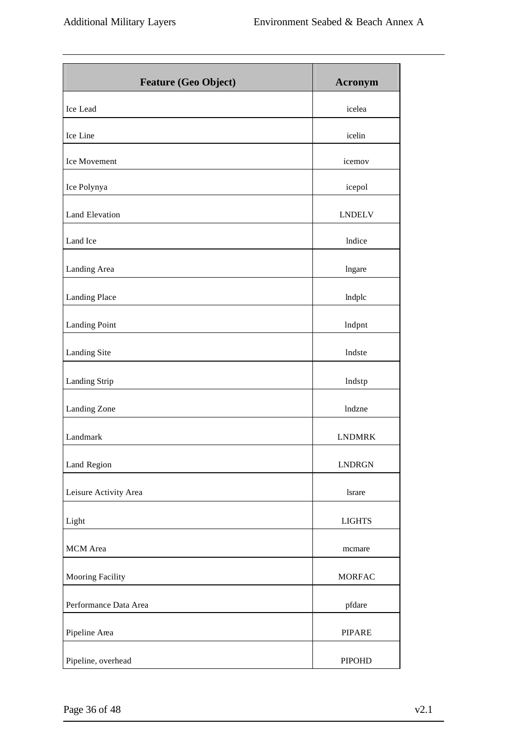| <b>Feature (Geo Object)</b> | <b>Acronym</b> |
|-----------------------------|----------------|
| Ice Lead                    | icelea         |
| Ice Line                    | icelin         |
| Ice Movement                | icemov         |
| Ice Polynya                 | icepol         |
| Land Elevation              | <b>LNDELV</b>  |
| Land Ice                    | Indice         |
| Landing Area                | lngare         |
| <b>Landing Place</b>        | Indplc         |
| Landing Point               | lndpnt         |
| Landing Site                | lndste         |
| <b>Landing Strip</b>        | lndstp         |
| Landing Zone                | lndzne         |
| Landmark                    | <b>LNDMRK</b>  |
| Land Region                 | <b>LNDRGN</b>  |
| Leisure Activity Area       | <b>lsrare</b>  |
| Light                       | <b>LIGHTS</b>  |
| MCM Area                    | mcmare         |
| Mooring Facility            | <b>MORFAC</b>  |
| Performance Data Area       | pfdare         |
| Pipeline Area               | <b>PIPARE</b>  |
| Pipeline, overhead          | <b>PIPOHD</b>  |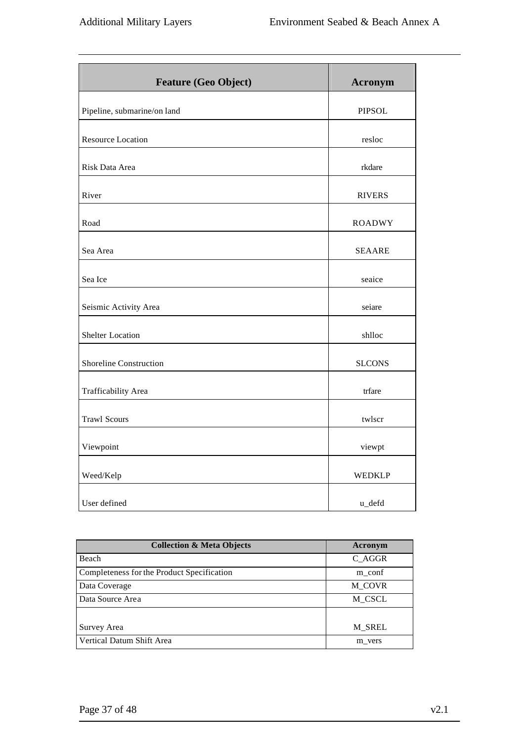| <b>Feature (Geo Object)</b>   | <b>Acronym</b> |
|-------------------------------|----------------|
| Pipeline, submarine/on land   | <b>PIPSOL</b>  |
| <b>Resource Location</b>      | resloc         |
| Risk Data Area                | rkdare         |
| River                         | <b>RIVERS</b>  |
| Road                          | <b>ROADWY</b>  |
| Sea Area                      | <b>SEAARE</b>  |
| Sea Ice                       | seaice         |
| Seismic Activity Area         | seiare         |
| <b>Shelter Location</b>       | shlloc         |
| <b>Shoreline Construction</b> | <b>SLCONS</b>  |
| Trafficability Area           | trfare         |
| <b>Trawl Scours</b>           | twlscr         |
| Viewpoint                     | viewpt         |
| Weed/Kelp                     | WEDKLP         |
| User defined                  | u_defd         |

| <b>Collection &amp; Meta Objects</b>       | Acronym |  |
|--------------------------------------------|---------|--|
| Beach                                      | C AGGR  |  |
| Completeness for the Product Specification | m conf  |  |
| Data Coverage                              | M COVR  |  |
| Data Source Area                           | M_CSCL  |  |
|                                            |         |  |
| Survey Area                                | M SREL  |  |
| Vertical Datum Shift Area                  | m vers  |  |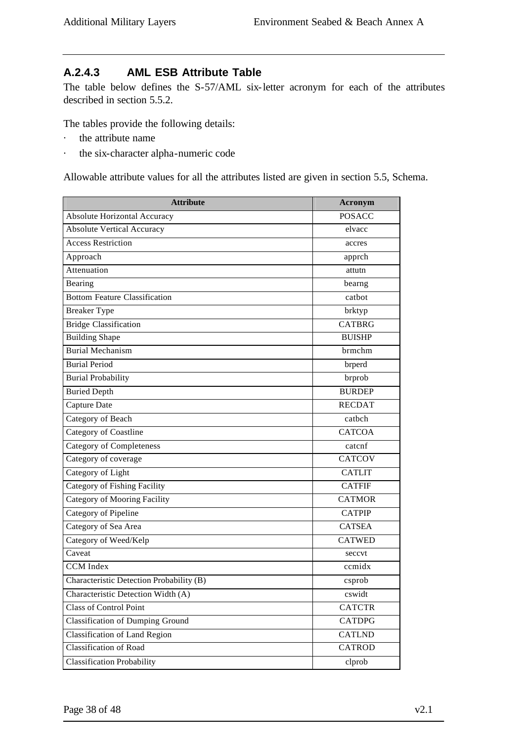### **A.2.4.3 AML ESB Attribute Table**

The table below defines the S-57/AML six-letter acronym for each of the attributes described in section 5.5.2.

The tables provide the following details:

- · the attribute name
- · the six-character alpha-numeric code

Allowable attribute values for all the attributes listed are given in section 5.5, Schema.

| <b>Attribute</b>                         | Acronym       |
|------------------------------------------|---------------|
| <b>Absolute Horizontal Accuracy</b>      | <b>POSACC</b> |
| <b>Absolute Vertical Accuracy</b>        | elvacc        |
| <b>Access Restriction</b>                | accres        |
| Approach                                 | apprch        |
| Attenuation                              | attutn        |
| Bearing                                  | bearng        |
| <b>Bottom Feature Classification</b>     | cathot        |
| <b>Breaker Type</b>                      | brktyp        |
| <b>Bridge Classification</b>             | <b>CATBRG</b> |
| <b>Building Shape</b>                    | <b>BUISHP</b> |
| <b>Burial Mechanism</b>                  | brmchm        |
| <b>Burial Period</b>                     | brperd        |
| <b>Burial Probability</b>                | brprob        |
| <b>Buried Depth</b>                      | <b>BURDEP</b> |
| Capture Date                             | <b>RECDAT</b> |
| Category of Beach                        | catbch        |
| Category of Coastline                    | <b>CATCOA</b> |
| <b>Category of Completeness</b>          | catcnf        |
| Category of coverage                     | <b>CATCOV</b> |
| Category of Light                        | <b>CATLIT</b> |
| <b>Category of Fishing Facility</b>      | <b>CATFIF</b> |
| <b>Category of Mooring Facility</b>      | <b>CATMOR</b> |
| Category of Pipeline                     | <b>CATPIP</b> |
| Category of Sea Area                     | <b>CATSEA</b> |
| Category of Weed/Kelp                    | <b>CATWED</b> |
| Caveat                                   | seccvt        |
| <b>CCM</b> Index                         | ccmidx        |
| Characteristic Detection Probability (B) | csprob        |
| Characteristic Detection Width (A)       | cswidt        |
| <b>Class of Control Point</b>            | <b>CATCTR</b> |
| <b>Classification of Dumping Ground</b>  | <b>CATDPG</b> |
| <b>Classification of Land Region</b>     | <b>CATLND</b> |
| <b>Classification of Road</b>            | <b>CATROD</b> |
| <b>Classification Probability</b>        | clprob        |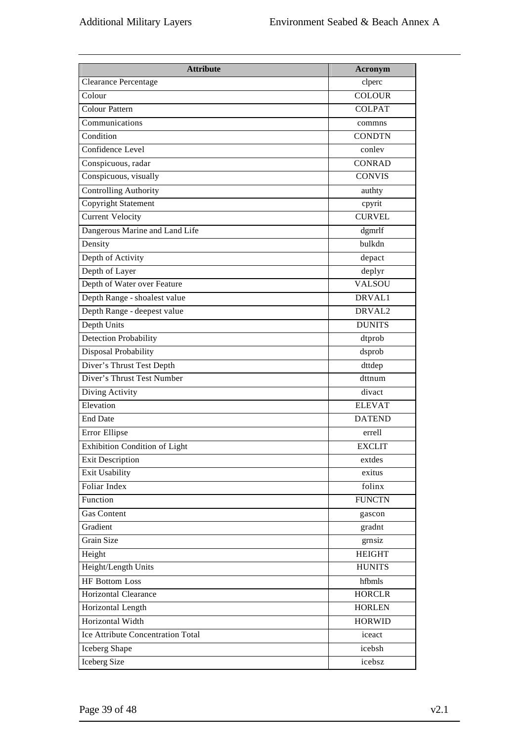| <b>Attribute</b>                     | <b>Acronym</b> |
|--------------------------------------|----------------|
| <b>Clearance Percentage</b>          | clperc         |
| Colour                               | <b>COLOUR</b>  |
| <b>Colour Pattern</b>                | <b>COLPAT</b>  |
| Communications                       | commns         |
| Condition                            | <b>CONDTN</b>  |
| Confidence Level                     | conlev         |
| Conspicuous, radar                   | <b>CONRAD</b>  |
| Conspicuous, visually                | <b>CONVIS</b>  |
| Controlling Authority                | authty         |
| <b>Copyright Statement</b>           | cpyrit         |
| <b>Current Velocity</b>              | <b>CURVEL</b>  |
| Dangerous Marine and Land Life       | dgmrlf         |
| Density                              | bulkdn         |
| Depth of Activity                    | depact         |
| Depth of Layer                       | deplyr         |
| Depth of Water over Feature          | <b>VALSOU</b>  |
| Depth Range - shoalest value         | DRVAL1         |
| Depth Range - deepest value          | DRVAL2         |
| Depth Units                          | <b>DUNITS</b>  |
| <b>Detection Probability</b>         | dtprob         |
| Disposal Probability                 | dsprob         |
| Diver's Thrust Test Depth            | dttdep         |
| Diver's Thrust Test Number           | dttnum         |
| Diving Activity                      | divact         |
| Elevation                            | <b>ELEVAT</b>  |
| <b>End Date</b>                      | <b>DATEND</b>  |
| Error Ellipse                        | errell         |
| <b>Exhibition Condition of Light</b> | <b>EXCLIT</b>  |
| <b>Exit Description</b>              | extdes         |
| <b>Exit Usability</b>                | exitus         |
| Foliar Index                         | folinx         |
| Function                             | <b>FUNCTN</b>  |
| <b>Gas Content</b>                   | gascon         |
| Gradient                             | gradnt         |
| Grain Size                           | grnsiz         |
| Height                               | <b>HEIGHT</b>  |
| Height/Length Units                  | <b>HUNITS</b>  |
| HF Bottom Loss                       | hfbmls         |
| <b>Horizontal Clearance</b>          | <b>HORCLR</b>  |
| Horizontal Length                    | <b>HORLEN</b>  |
| Horizontal Width                     | <b>HORWID</b>  |
| Ice Attribute Concentration Total    | iceact         |
| <b>Iceberg Shape</b>                 | icebsh         |
| Iceberg Size                         | icebsz         |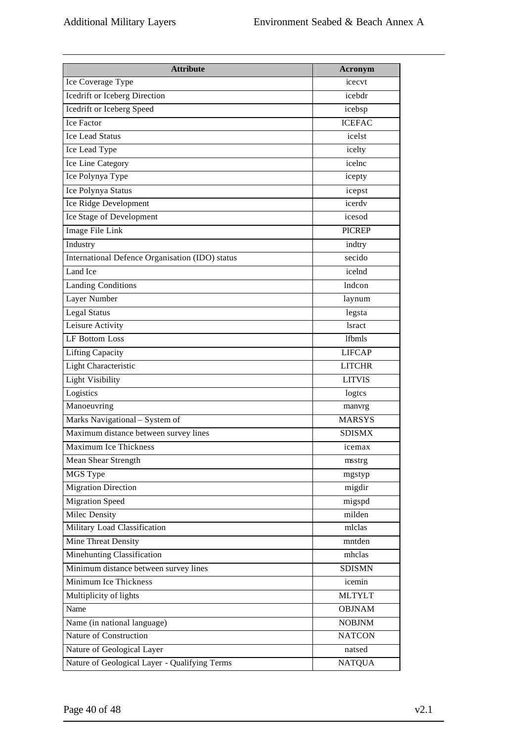| <b>Attribute</b>                                | Acronym       |
|-------------------------------------------------|---------------|
| Ice Coverage Type                               | icecvt        |
| Icedrift or Iceberg Direction                   | icebdr        |
| Icedrift or Iceberg Speed                       | icebsp        |
| <b>Ice Factor</b>                               | <b>ICEFAC</b> |
| <b>Ice Lead Status</b>                          | icelst        |
| Ice Lead Type                                   | icelty        |
| Ice Line Category                               | icelnc        |
| Ice Polynya Type                                | icepty        |
| Ice Polynya Status                              | icepst        |
| Ice Ridge Development                           | icerdy        |
| Ice Stage of Development                        | icesod        |
| Image File Link                                 | <b>PICREP</b> |
| Industry                                        | indtry        |
| International Defence Organisation (IDO) status | secido        |
| Land Ice                                        | icelnd        |
| <b>Landing Conditions</b>                       | Indcon        |
| Layer Number                                    | laynum        |
| <b>Legal Status</b>                             | legsta        |
| Leisure Activity                                | <b>lsract</b> |
| <b>LF Bottom Loss</b>                           | <b>lfbmls</b> |
| <b>Lifting Capacity</b>                         | <b>LIFCAP</b> |
| Light Characteristic                            | <b>LITCHR</b> |
| <b>Light Visibility</b>                         | <b>LITVIS</b> |
| Logistics                                       | logtcs        |
| Manoeuvring                                     | manvrg        |
| Marks Navigational - System of                  | <b>MARSYS</b> |
| Maximum distance between survey lines           | <b>SDISMX</b> |
| Maximum Ice Thickness                           | icemax        |
| Mean Shear Strength                             | msstrg        |
| MGS Type                                        | mgstyp        |
| <b>Migration Direction</b>                      | migdir        |
| <b>Migration Speed</b>                          | migspd        |
| Milec Density                                   | milden        |
| Military Load Classification                    | mlclas        |
| Mine Threat Density                             | mntden        |
| Minehunting Classification                      | mhclas        |
| Minimum distance between survey lines           | <b>SDISMN</b> |
| Minimum Ice Thickness                           | icemin        |
| Multiplicity of lights                          | <b>MLTYLT</b> |
| Name                                            | <b>OBJNAM</b> |
| Name (in national language)                     | <b>NOBJNM</b> |
| Nature of Construction                          | <b>NATCON</b> |
| Nature of Geological Layer                      | natsed        |
| Nature of Geological Layer - Qualifying Terms   |               |
|                                                 | <b>NATQUA</b> |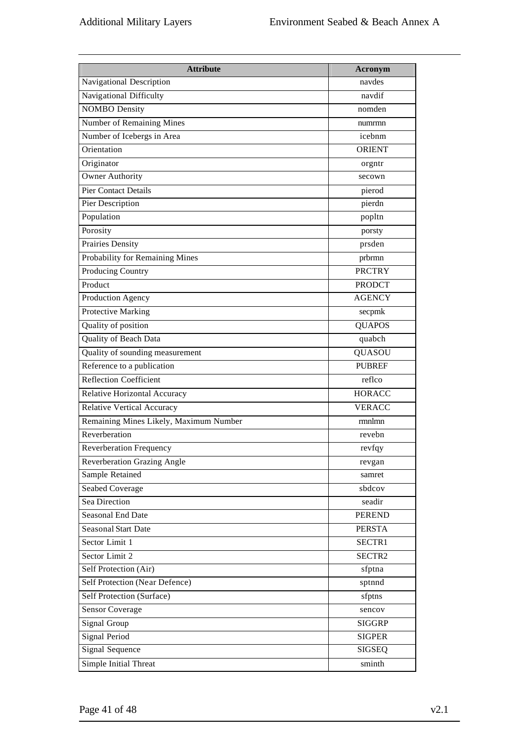| <b>Attribute</b>                       | Acronym       |
|----------------------------------------|---------------|
| Navigational Description               | navdes        |
| Navigational Difficulty                | navdif        |
| <b>NOMBO</b> Density                   | nomden        |
| Number of Remaining Mines              | numrmn        |
| Number of Icebergs in Area             | icebnm        |
| Orientation                            | <b>ORIENT</b> |
| Originator                             | orgntr        |
| <b>Owner Authority</b>                 | secown        |
| <b>Pier Contact Details</b>            | pierod        |
| Pier Description                       | pierdn        |
| Population                             | popltn        |
| Porosity                               | porsty        |
| <b>Prairies Density</b>                | prsden        |
| Probability for Remaining Mines        | prbrmn        |
| Producing Country                      | <b>PRCTRY</b> |
| Product                                | <b>PRODCT</b> |
| Production Agency                      | <b>AGENCY</b> |
| <b>Protective Marking</b>              | secpmk        |
| Quality of position                    | <b>QUAPOS</b> |
| Quality of Beach Data                  | quabch        |
| Quality of sounding measurement        | QUASOU        |
| Reference to a publication             | <b>PUBREF</b> |
| <b>Reflection Coefficient</b>          | reflco        |
| Relative Horizontal Accuracy           | <b>HORACC</b> |
| <b>Relative Vertical Accuracy</b>      | <b>VERACC</b> |
| Remaining Mines Likely, Maximum Number | rmnlmn        |
| Reverberation                          | revebn        |
| <b>Reverberation Frequency</b>         | revfqy        |
| <b>Reverberation Grazing Angle</b>     | revgan        |
| Sample Retained                        | samret        |
| Seabed Coverage                        | sbdcov        |
| Sea Direction                          | seadir        |
| Seasonal End Date                      | <b>PEREND</b> |
| <b>Seasonal Start Date</b>             | <b>PERSTA</b> |
| Sector Limit 1                         | SECTR1        |
| Sector Limit 2                         | SECTR2        |
| Self Protection (Air)                  | sfptna        |
| Self Protection (Near Defence)         | sptnnd        |
| Self Protection (Surface)              | sfptns        |
| Sensor Coverage                        | sencov        |
| Signal Group                           | <b>SIGGRP</b> |
| Signal Period                          | <b>SIGPER</b> |
| Signal Sequence                        | SIGSEQ        |
| Simple Initial Threat                  | sminth        |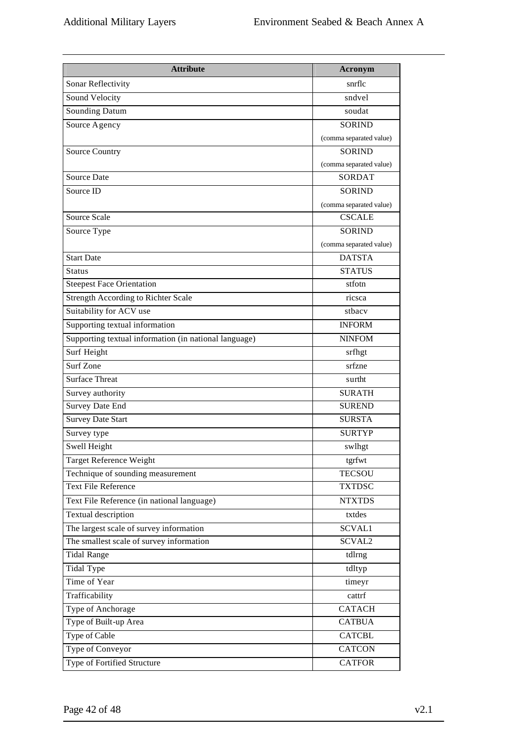| <b>Attribute</b>                                      | <b>Acronym</b>          |
|-------------------------------------------------------|-------------------------|
| Sonar Reflectivity                                    | snrflc                  |
| Sound Velocity                                        | sndvel                  |
| <b>Sounding Datum</b>                                 | soudat                  |
| Source Agency                                         | <b>SORIND</b>           |
|                                                       | (comma separated value) |
| <b>Source Country</b>                                 | <b>SORIND</b>           |
|                                                       | (comma separated value) |
| <b>Source Date</b>                                    | <b>SORDAT</b>           |
| Source ID                                             | <b>SORIND</b>           |
|                                                       | (comma separated value) |
| Source Scale                                          | <b>CSCALE</b>           |
| Source Type                                           | <b>SORIND</b>           |
|                                                       | (comma separated value) |
| <b>Start Date</b>                                     | <b>DATSTA</b>           |
| <b>Status</b>                                         | <b>STATUS</b>           |
| <b>Steepest Face Orientation</b>                      | stfotn                  |
| <b>Strength According to Richter Scale</b>            | ricsca                  |
| Suitability for ACV use                               | stbacy                  |
| Supporting textual information                        | <b>INFORM</b>           |
| Supporting textual information (in national language) | <b>NINFOM</b>           |
| Surf Height                                           | srfhgt                  |
| Surf Zone                                             | srfzne                  |
| <b>Surface Threat</b>                                 | surtht                  |
| Survey authority                                      | <b>SURATH</b>           |
| <b>Survey Date End</b>                                | <b>SUREND</b>           |
| <b>Survey Date Start</b>                              | <b>SURSTA</b>           |
| Survey type                                           | <b>SURTYP</b>           |
| Swell Height                                          | swlhgt                  |
| Target Reference Weight                               | tgrfwt                  |
| Technique of sounding measurement                     | <b>TECSOU</b>           |
| Text File Reference                                   | <b>TXTDSC</b>           |
| Text File Reference (in national language)            | <b>NTXTDS</b>           |
| Textual description                                   | txtdes                  |
| The largest scale of survey information               | SCVAL1                  |
| The smallest scale of survey information              | SCVAL2                  |
| <b>Tidal Range</b>                                    | tdlrng                  |
| <b>Tidal Type</b>                                     | tdltyp                  |
| Time of Year                                          | timeyr                  |
| Trafficability                                        | cattrf                  |
| Type of Anchorage                                     | <b>CATACH</b>           |
| Type of Built-up Area                                 | <b>CATBUA</b>           |
| Type of Cable                                         | <b>CATCBL</b>           |
| Type of Conveyor                                      | <b>CATCON</b>           |
| Type of Fortified Structure                           | <b>CATFOR</b>           |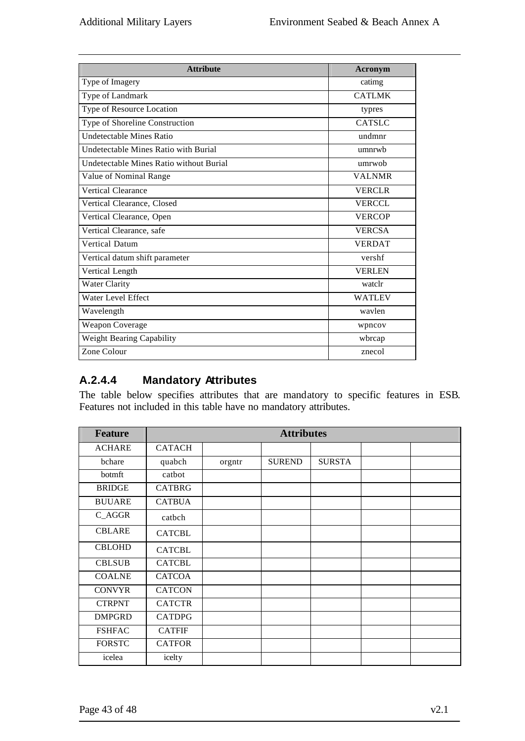| <b>Attribute</b>                        | <b>Acronym</b> |
|-----------------------------------------|----------------|
| Type of Imagery                         | catimg         |
| Type of Landmark                        | <b>CATLMK</b>  |
| Type of Resource Location               | typres         |
| Type of Shoreline Construction          | <b>CATSLC</b>  |
| <b>Undetectable Mines Ratio</b>         | undmnr         |
| Undetectable Mines Ratio with Burial    | umnrwh         |
| Undetectable Mines Ratio without Burial | umrwob         |
| Value of Nominal Range                  | <b>VALNMR</b>  |
| <b>Vertical Clearance</b>               | <b>VERCLR</b>  |
| Vertical Clearance, Closed              | <b>VERCCL</b>  |
| Vertical Clearance, Open                | <b>VERCOP</b>  |
| Vertical Clearance, safe                | <b>VERCSA</b>  |
| <b>Vertical Datum</b>                   | <b>VERDAT</b>  |
| Vertical datum shift parameter          | vershf         |
| Vertical Length                         | <b>VERLEN</b>  |
| <b>Water Clarity</b>                    | watclr         |
| Water Level Effect                      | <b>WATLEV</b>  |
| Wavelength                              | wavlen         |
| Weapon Coverage                         | wpncov         |
| Weight Bearing Capability               | wbrcap         |
| Zone Colour                             | znecol         |

### **A.2.4.4 Mandatory Attributes**

The table below specifies attributes that are mandatory to specific features in ESB. Features not included in this table have no mandatory attributes.

| <b>Feature</b> | <b>Attributes</b> |        |               |               |  |  |
|----------------|-------------------|--------|---------------|---------------|--|--|
| <b>ACHARE</b>  | <b>CATACH</b>     |        |               |               |  |  |
| bchare         | quabch            | orgntr | <b>SUREND</b> | <b>SURSTA</b> |  |  |
| botmft         | catbot            |        |               |               |  |  |
| <b>BRIDGE</b>  | <b>CATBRG</b>     |        |               |               |  |  |
| <b>BUUARE</b>  | <b>CATBUA</b>     |        |               |               |  |  |
| $C_{AGGR}$     | catbch            |        |               |               |  |  |
| <b>CBLARE</b>  | <b>CATCBL</b>     |        |               |               |  |  |
| <b>CBLOHD</b>  | <b>CATCBL</b>     |        |               |               |  |  |
| <b>CBLSUB</b>  | <b>CATCBL</b>     |        |               |               |  |  |
| <b>COALNE</b>  | <b>CATCOA</b>     |        |               |               |  |  |
| <b>CONVYR</b>  | <b>CATCON</b>     |        |               |               |  |  |
| <b>CTRPNT</b>  | <b>CATCTR</b>     |        |               |               |  |  |
| <b>DMPGRD</b>  | <b>CATDPG</b>     |        |               |               |  |  |
| <b>FSHFAC</b>  | <b>CATFIF</b>     |        |               |               |  |  |
| <b>FORSTC</b>  | <b>CATFOR</b>     |        |               |               |  |  |
| icelea         | icelty            |        |               |               |  |  |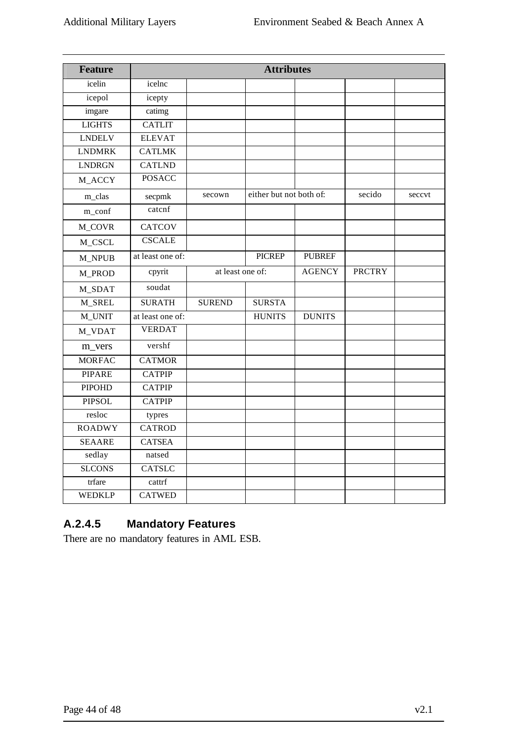| Feature       | <b>Attributes</b> |                  |                         |               |               |        |  |
|---------------|-------------------|------------------|-------------------------|---------------|---------------|--------|--|
| icelin        | icelnc            |                  |                         |               |               |        |  |
| icepol        | icepty            |                  |                         |               |               |        |  |
| imgare        | catimg            |                  |                         |               |               |        |  |
| <b>LIGHTS</b> | <b>CATLIT</b>     |                  |                         |               |               |        |  |
| <b>LNDELV</b> | <b>ELEVAT</b>     |                  |                         |               |               |        |  |
| <b>LNDMRK</b> | <b>CATLMK</b>     |                  |                         |               |               |        |  |
| <b>LNDRGN</b> | <b>CATLND</b>     |                  |                         |               |               |        |  |
| M_ACCY        | <b>POSACC</b>     |                  |                         |               |               |        |  |
| m_clas        | secpmk            | secown           | either but not both of: |               | secido        | seccvt |  |
| m_conf        | catcnf            |                  |                         |               |               |        |  |
| M_COVR        | <b>CATCOV</b>     |                  |                         |               |               |        |  |
| M_CSCL        | <b>CSCALE</b>     |                  |                         |               |               |        |  |
| M_NPUB        | at least one of:  |                  | <b>PICREP</b>           | <b>PUBREF</b> |               |        |  |
| M_PROD        | cpyrit            | at least one of: |                         | <b>AGENCY</b> | <b>PRCTRY</b> |        |  |
| M_SDAT        | soudat            |                  |                         |               |               |        |  |
| M_SREL        | <b>SURATH</b>     | <b>SUREND</b>    | <b>SURSTA</b>           |               |               |        |  |
| M_UNIT        | at least one of:  |                  | <b>HUNITS</b>           | <b>DUNITS</b> |               |        |  |
| M_VDAT        | <b>VERDAT</b>     |                  |                         |               |               |        |  |
| m_vers        | vershf            |                  |                         |               |               |        |  |
| <b>MORFAC</b> | <b>CATMOR</b>     |                  |                         |               |               |        |  |
| <b>PIPARE</b> | <b>CATPIP</b>     |                  |                         |               |               |        |  |
| <b>PIPOHD</b> | <b>CATPIP</b>     |                  |                         |               |               |        |  |
| <b>PIPSOL</b> | <b>CATPIP</b>     |                  |                         |               |               |        |  |
| resloc        | typres            |                  |                         |               |               |        |  |
| <b>ROADWY</b> | <b>CATROD</b>     |                  |                         |               |               |        |  |
| <b>SEAARE</b> | <b>CATSEA</b>     |                  |                         |               |               |        |  |
| sedlay        | natsed            |                  |                         |               |               |        |  |
| <b>SLCONS</b> | <b>CATSLC</b>     |                  |                         |               |               |        |  |
| trfare        | cattrf            |                  |                         |               |               |        |  |
| <b>WEDKLP</b> | <b>CATWED</b>     |                  |                         |               |               |        |  |

# **A.2.4.5 Mandatory Features**

There are no mandatory features in AML ESB.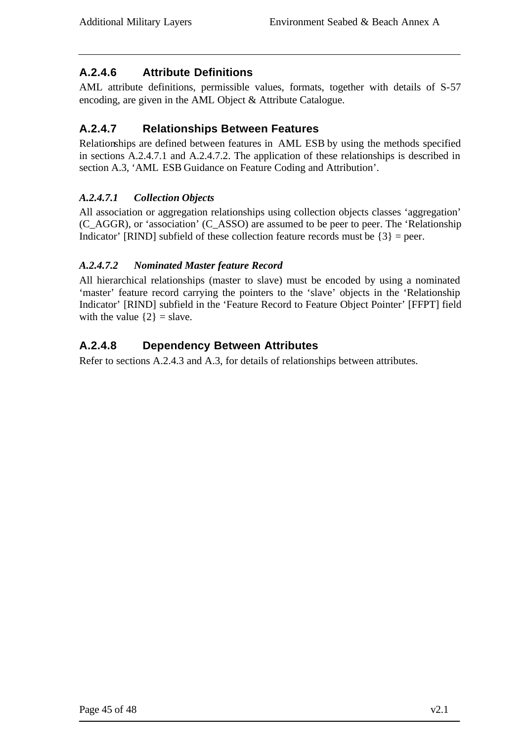### **A.2.4.6 Attribute Definitions**

AML attribute definitions, permissible values, formats, together with details of S-57 encoding, are given in the AML Object & Attribute Catalogue.

### **A.2.4.7 Relationships Between Features**

Relationships are defined between features in AML ESB by using the methods specified in sections A.2.4.7.1 and A.2.4.7.2. The application of these relationships is described in section A.3, 'AML ESB Guidance on Feature Coding and Attribution'.

### *A.2.4.7.1 Collection Objects*

All association or aggregation relationships using collection objects classes 'aggregation' (C\_AGGR), or 'association' (C\_ASSO) are assumed to be peer to peer. The 'Relationship Indicator' [RIND] subfield of these collection feature records must be  $\{3\}$  = peer.

#### *A.2.4.7.2 Nominated Master feature Record*

All hierarchical relationships (master to slave) must be encoded by using a nominated 'master' feature record carrying the pointers to the 'slave' objects in the 'Relationship Indicator' [RIND] subfield in the 'Feature Record to Feature Object Pointer' [FFPT] field with the value  $\{2\}$  = slave.

### **A.2.4.8 Dependency Between Attributes**

Refer to sections A.2.4.3 and A.3, for details of relationships between attributes.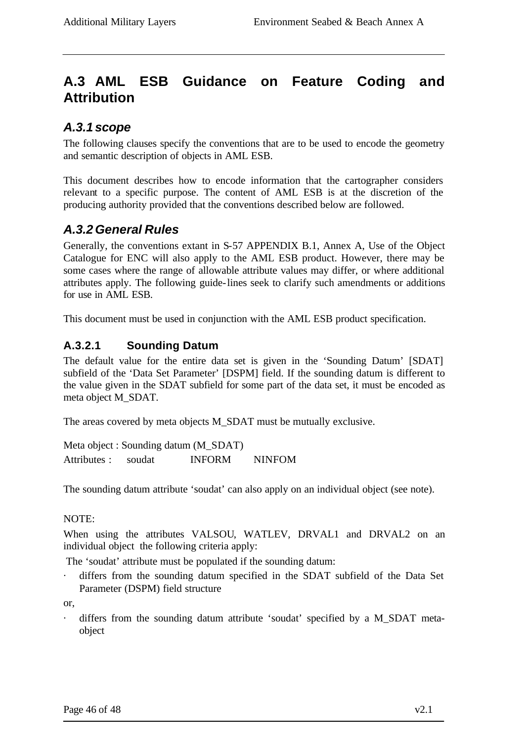# **A.3 AML ESB Guidance on Feature Coding and Attribution**

# *A.3.1 scope*

The following clauses specify the conventions that are to be used to encode the geometry and semantic description of objects in AML ESB.

This document describes how to encode information that the cartographer considers relevant to a specific purpose. The content of AML ESB is at the discretion of the producing authority provided that the conventions described below are followed.

# *A.3.2General Rules*

Generally, the conventions extant in S-57 APPENDIX B.1, Annex A, Use of the Object Catalogue for ENC will also apply to the AML ESB product. However, there may be some cases where the range of allowable attribute values may differ, or where additional attributes apply. The following guide-lines seek to clarify such amendments or additions for use in AML ESB.

This document must be used in conjunction with the AML ESB product specification.

## **A.3.2.1 Sounding Datum**

The default value for the entire data set is given in the 'Sounding Datum' [SDAT] subfield of the 'Data Set Parameter' [DSPM] field. If the sounding datum is different to the value given in the SDAT subfield for some part of the data set, it must be encoded as meta object M\_SDAT.

The areas covered by meta objects M\_SDAT must be mutually exclusive.

Meta object : Sounding datum (M\_SDAT) Attributes : soudat **INFORM** NINFOM

The sounding datum attribute 'soudat' can also apply on an individual object (see note).

#### NOTE:

When using the attributes VALSOU, WATLEV, DRVAL1 and DRVAL2 on an individual object the following criteria apply:

The 'soudat' attribute must be populated if the sounding datum:

differs from the sounding datum specified in the SDAT subfield of the Data Set Parameter (DSPM) field structure

or,

differs from the sounding datum attribute 'soudat' specified by a M\_SDAT metaobject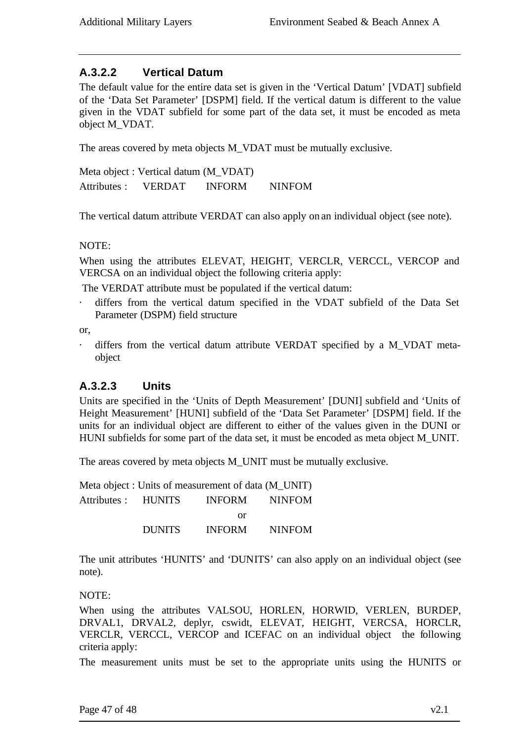### **A.3.2.2 Vertical Datum**

The default value for the entire data set is given in the 'Vertical Datum' [VDAT] subfield of the 'Data Set Parameter' [DSPM] field. If the vertical datum is different to the value given in the VDAT subfield for some part of the data set, it must be encoded as meta object M\_VDAT.

The areas covered by meta objects M\_VDAT must be mutually exclusive.

Meta object : Vertical datum (M\_VDAT) Attributes : VERDAT INFORM NINFOM

The vertical datum attribute VERDAT can also apply on an individual object (see note).

NOTE:

When using the attributes ELEVAT, HEIGHT, VERCLR, VERCCL, VERCOP and VERCSA on an individual object the following criteria apply:

The VERDAT attribute must be populated if the vertical datum:

· differs from the vertical datum specified in the VDAT subfield of the Data Set Parameter (DSPM) field structure

or,

differs from the vertical datum attribute VERDAT specified by a M\_VDAT metaobject

### **A.3.2.3 Units**

Units are specified in the 'Units of Depth Measurement' [DUNI] subfield and 'Units of Height Measurement' [HUNI] subfield of the 'Data Set Parameter' [DSPM] field. If the units for an individual object are different to either of the values given in the DUNI or HUNI subfields for some part of the data set, it must be encoded as meta object M\_UNIT.

The areas covered by meta objects M\_UNIT must be mutually exclusive.

Meta object : Units of measurement of data (M\_UNIT) Attributes : HUNITS INFORM NINFOM or DUNITS INFORM NINFOM

The unit attributes 'HUNITS' and 'DUNITS' can also apply on an individual object (see note).

NOTE:

When using the attributes VALSOU, HORLEN, HORWID, VERLEN, BURDEP, DRVAL1, DRVAL2, deplyr, cswidt, ELEVAT, HEIGHT, VERCSA, HORCLR, VERCLR, VERCCL, VERCOP and ICEFAC on an individual object the following criteria apply:

The measurement units must be set to the appropriate units using the HUNITS or